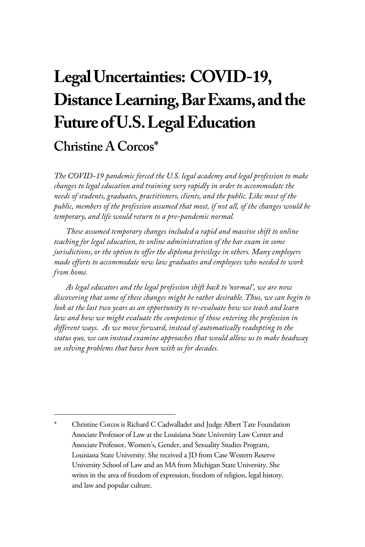# **Legal Uncertainties: COVID-19, Distance Learning, Bar Exams, and the Future of U.S. Legal Education**

## **Christine A Corcos\***

*The COVID-19 pandemic forced the U.S. legal academy and legal profession to make changes to legal education and training very rapidly in order to accommodate the needs of students, graduates, practitioners, clients, and the public. Like most of the public, members of the profession assumed that most, if not all, of the changes would be temporary, and life would return to a pre-pandemic normal.* 

*These assumed temporary changes included a rapid and massive shift to online teaching for legal education, to online administration of the bar exam in some jurisdictions, or the option to offer the diploma privilege in others. Many employers made efforts to accommodate new law graduates and employees who needed to work from home.* 

*As legal educators and the legal profession shift back to 'normal', we are now discovering that some of these changes might be rather desirable. Thus, we can begin to look at the last two years as an opportunity to re-evaluate how we teach and learn law and how we might evaluate the competence of those entering the profession in different ways. As we move forward, instead of automatically readopting to the status quo, we can instead examine approaches that would allow us to make headway on solving problems that have been with us for decades.* 

Christine Corcos is Richard C Cadwallader and Judge Albert Tate Foundation Associate Professor of Law at the Louisiana State University Law Center and Associate Professor, Women's, Gender, and Sexuality Studies Program, Louisiana State University. She received a JD from Case Western Reserve University School of Law and an MA from Michigan State University. She writes in the area of freedom of expression, freedom of religion, legal history, and law and popular culture.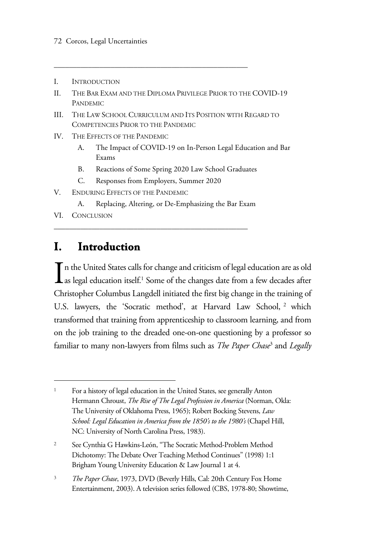- I. INTRODUCTION
- II. THE BAR EXAM AND THE DIPLOMA PRIVILEGE PRIOR TO THE COVID-19 PANDEMIC

\_\_\_\_\_\_\_\_\_\_\_\_\_\_\_\_\_\_\_\_\_\_\_\_\_\_\_\_\_\_\_\_\_\_\_\_\_\_\_\_\_\_\_\_\_\_\_\_\_\_\_

- III. THE LAW SCHOOL CURRICULUM AND ITS POSITION WITH REGARD TO COMPETENCIES PRIOR TO THE PANDEMIC
- IV. THE EFFECTS OF THE PANDEMIC
	- A. The Impact of COVID-19 on In-Person Legal Education and Bar Exams
	- B. Reactions of Some Spring 2020 Law School Graduates
	- C. Responses from Employers, Summer 2020

\_\_\_\_\_\_\_\_\_\_\_\_\_\_\_\_\_\_\_\_\_\_\_\_\_\_\_\_\_\_\_\_\_\_\_\_\_\_\_\_\_\_\_\_\_\_\_\_\_\_\_

- V. ENDURING EFFECTS OF THE PANDEMIC
	- A. Replacing, Altering, or De-Emphasizing the Bar Exam
- VI. CONCLUSION

### **I. Introduction**

 $\prod$ n the United States calls for change and criticism of legal education are as old<br>as legal education itself.<sup>1</sup> Some of the changes date from a few decades after as legal education itself.<sup>1</sup> Some of the changes date from a few decades after Christopher Columbus Langdell initiated the first big change in the training of U.S. lawyers, the 'Socratic method', at Harvard Law School, <sup>2</sup> which transformed that training from apprenticeship to classroom learning, and from on the job training to the dreaded one-on-one questioning by a professor so familiar to many non-lawyers from films such as *The Paper Chase*<sup>3</sup> and *Legally* 

<sup>3</sup> *The Paper Chase*, 1973, DVD (Beverly Hills, Cal: 20th Century Fox Home Entertainment, 2003). A television series followed (CBS, 1978-80; Showtime,

<sup>1</sup> For a history of legal education in the United States, see generally Anton Hermann Chroust, *The Rise of The Legal Profession in America* (Norman, Okla: The University of Oklahoma Press, 1965); Robert Bocking Stevens, *Law School: Legal Education in America from the 1850's to the 1980's* (Chapel Hill, NC: University of North Carolina Press, 1983).

<sup>2</sup> See Cynthia G Hawkins-León, "The Socratic Method-Problem Method Dichotomy: The Debate Over Teaching Method Continues" (1998) 1:1 Brigham Young University Education & Law Journal 1 at 4.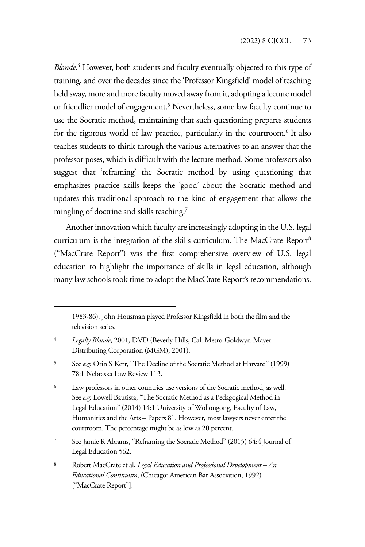*Blonde.*<sup>4</sup> However, both students and faculty eventually objected to this type of training, and over the decades since the 'Professor Kingsfield' model of teaching held sway, more and more faculty moved away from it, adopting a lecture model or friendlier model of engagement.<sup>5</sup> Nevertheless, some law faculty continue to use the Socratic method, maintaining that such questioning prepares students for the rigorous world of law practice, particularly in the courtroom.<sup>6</sup> It also teaches students to think through the various alternatives to an answer that the professor poses, which is difficult with the lecture method. Some professors also suggest that 'reframing' the Socratic method by using questioning that emphasizes practice skills keeps the 'good' about the Socratic method and updates this traditional approach to the kind of engagement that allows the mingling of doctrine and skills teaching.<sup>7</sup>

Another innovation which faculty are increasingly adopting in the U.S. legal curriculum is the integration of the skills curriculum. The MacCrate Report<sup>8</sup> ("MacCrate Report") was the first comprehensive overview of U.S. legal education to highlight the importance of skills in legal education, although many law schools took time to adopt the MacCrate Report's recommendations.

<sup>1983-86).</sup> John Housman played Professor Kingsfield in both the film and the television series.

<sup>4</sup> *Legally Blonde*, 2001, DVD (Beverly Hills, Cal: Metro-Goldwyn-Mayer Distributing Corporation (MGM), 2001).

<sup>5</sup> See *e.g.* Orin S Kerr, "The Decline of the Socratic Method at Harvard" (1999) 78:1 Nebraska Law Review 113.

<sup>6</sup> Law professors in other countries use versions of the Socratic method, as well. See *e.g.* Lowell Bautista, "The Socratic Method as a Pedagogical Method in Legal Education" (2014) 14:1 University of Wollongong, Faculty of Law, Humanities and the Arts – Papers 81. However, most lawyers never enter the courtroom. The percentage might be as low as 20 percent.

<sup>7</sup> See Jamie R Abrams, "Reframing the Socratic Method" (2015) 64:4 Journal of Legal Education 562.

<sup>8</sup> Robert MacCrate et al, *Legal Education and Professional Development – An Educational Continuum*, (Chicago: American Bar Association, 1992) ["MacCrate Report"].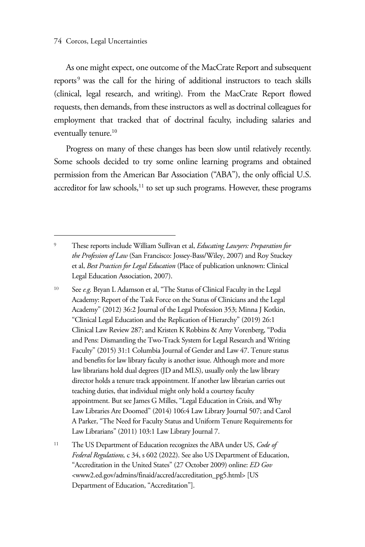As one might expect, one outcome of the MacCrate Report and subsequent reports<sup>9</sup> was the call for the hiring of additional instructors to teach skills (clinical, legal research, and writing). From the MacCrate Report flowed requests, then demands, from these instructors as well as doctrinal colleagues for employment that tracked that of doctrinal faculty, including salaries and eventually tenure.<sup>10</sup>

Progress on many of these changes has been slow until relatively recently. Some schools decided to try some online learning programs and obtained permission from the American Bar Association ("ABA"), the only official U.S. accreditor for law schools, $11$  to set up such programs. However, these programs

<sup>9</sup> These reports include William Sullivan et al, *Educating Lawyers: Preparation for the Profession of Law* (San Francisco: Jossey-Bass/Wiley, 2007) and Roy Stuckey et al, *Best Practices for Legal Education* (Place of publication unknown: Clinical Legal Education Association, 2007).

<sup>10</sup> See *e.g.* Bryan L Adamson et al, "The Status of Clinical Faculty in the Legal Academy: Report of the Task Force on the Status of Clinicians and the Legal Academy" (2012) 36:2 Journal of the Legal Profession 353; Minna J Kotkin, "Clinical Legal Education and the Replication of Hierarchy" (2019) 26:1 Clinical Law Review 287; and Kristen K Robbins & Amy Vorenberg, "Podia and Pens: Dismantling the Two-Track System for Legal Research and Writing Faculty" (2015) 31:1 Columbia Journal of Gender and Law 47. Tenure status and benefits for law library faculty is another issue. Although more and more law librarians hold dual degrees (JD and MLS), usually only the law library director holds a tenure track appointment. If another law librarian carries out teaching duties, that individual might only hold a courtesy faculty appointment. But see James G Milles, "Legal Education in Crisis, and Why Law Libraries Are Doomed" (2014) 106:4 Law Library Journal 507; and Carol A Parker, "The Need for Faculty Status and Uniform Tenure Requirements for Law Librarians" (2011) 103:1 Law Library Journal 7.

<sup>11</sup> The US Department of Education recognizes the ABA under US, *Code of Federal Regulations,* c 34, s 602 (2022). See also US Department of Education, "Accreditation in the United States" (27 October 2009) online: *ED Gov*  <www2.ed.gov/admins/finaid/accred/accreditation\_pg5.html> [US Department of Education, "Accreditation"].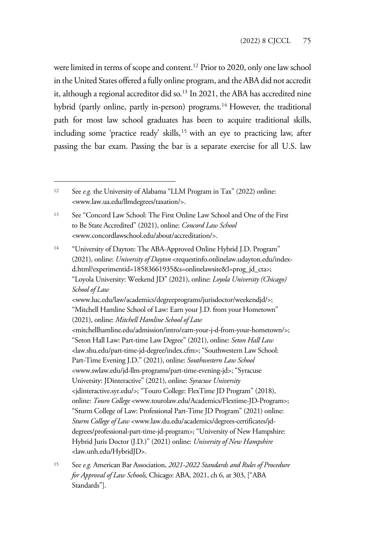were limited in terms of scope and content.<sup>12</sup> Prior to 2020, only one law school in the United States offered a fully online program, and the ABA did not accredit it, although a regional accreditor did so.<sup>13</sup> In 2021, the ABA has accredited nine hybrid (partly online, partly in-person) programs.<sup>14</sup> However, the traditional path for most law school graduates has been to acquire traditional skills, including some 'practice ready' skills,<sup>15</sup> with an eye to practicing law, after passing the bar exam. Passing the bar is a separate exercise for all U.S. law

<sup>14</sup> "University of Dayton: The ABA-Approved Online Hybrid J.D. Program" (2021), online: *University of Dayton* <requestinfo.onlinelaw.udayton.edu/indexd.html?experimentid=18583661935&s=onlinelawsite&l=prog\_jd\_cta>; "Loyola University: Weekend JD" (2021), online: *Loyola University (Chicago) School of Law* <www.luc.edu/law/academics/degreeprograms/jurisdoctor/weekendjd/>; "Mitchell Hamline School of Law: Earn your J.D. from your Hometown" (2021), online: *Mitchell Hamline School of Law*  <mitchellhamline.edu/admission/intro/earn-your-j-d-from-your-hometown/>; "Seton Hall Law: Part-time Law Degree" (2021), online: *Seton Hall Law*  <law.shu.edu/part-time-jd-degree/index.cfm>; "Southwestern Law School: Part-Time Evening J.D." (2021), online: *Southwestern Law School*  <www.swlaw.edu/jd-llm-programs/part-time-evening-jd>; "Syracuse University: JDinteractive" (2021), online: *Syracuse University*  <jdinteractive.syr.edu/>; "Touro College: FlexTime JD Program" (2018), online: *Touro College* <www.tourolaw.edu/Academics/Flextime-JD-Program>; "Sturm College of Law: Professional Part-Time JD Program" (2021) online: *Sturm College of Law* <www.law.du.edu/academics/degrees-certificates/jddegrees/professional-part-time-jd-program>; "University of New Hampshire: Hybrid Juris Doctor (J.D.)" (2021) online: *University of New Hampshire*  <law.unh.edu/HybridJD>.

<sup>12</sup> See *e.g.* the University of Alabama "LLM Program in Tax" (2022) online: <www.law.ua.edu/llmdegrees/taxation/>.

<sup>13</sup> See "Concord Law School: The First Online Law School and One of the First to Be State Accredited" (2021), online: *Concord Law School*  <www.concordlawschool.edu/about/accreditation/>.

<sup>15</sup> See *e.g.* American Bar Association, *2021-2022 Standards and Rules of Procedure for Approval of Law Schools,* Chicago: ABA, 2021, ch 6, at 303, ["ABA Standards"].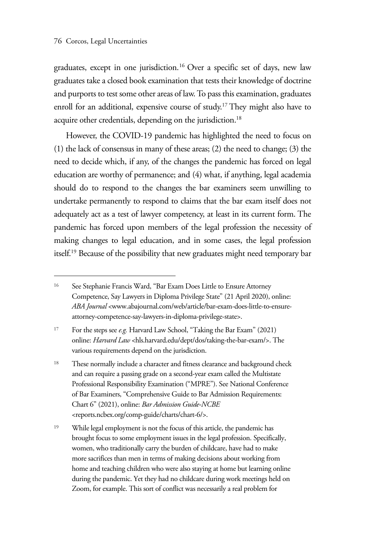graduates, except in one jurisdiction.16 Over a specific set of days, new law graduates take a closed book examination that tests their knowledge of doctrine and purports to test some other areas of law. To pass this examination, graduates enroll for an additional, expensive course of study.<sup>17</sup> They might also have to acquire other credentials, depending on the jurisdiction.<sup>18</sup>

However, the COVID-19 pandemic has highlighted the need to focus on (1) the lack of consensus in many of these areas; (2) the need to change; (3) the need to decide which, if any, of the changes the pandemic has forced on legal education are worthy of permanence; and (4) what, if anything, legal academia should do to respond to the changes the bar examiners seem unwilling to undertake permanently to respond to claims that the bar exam itself does not adequately act as a test of lawyer competency, at least in its current form. The pandemic has forced upon members of the legal profession the necessity of making changes to legal education, and in some cases, the legal profession itself.19 Because of the possibility that new graduates might need temporary bar

<sup>16</sup> See Stephanie Francis Ward, "Bar Exam Does Little to Ensure Attorney Competence, Say Lawyers in Diploma Privilege State" (21 April 2020), online: *ABA Journal* <www.abajournal.com/web/article/bar-exam-does-little-to-ensureattorney-competence-say-lawyers-in-diploma-privilege-state>.

<sup>17</sup> For the steps see *e.g.* Harvard Law School, "Taking the Bar Exam" (2021) online: *Harvard Law* <hls.harvard.edu/dept/dos/taking-the-bar-exam/>. The various requirements depend on the jurisdiction.

<sup>18</sup> These normally include a character and fitness clearance and background check and can require a passing grade on a second-year exam called the Multistate Professional Responsibility Examination ("MPRE"). See National Conference of Bar Examiners, "Comprehensive Guide to Bar Admission Requirements: Chart 6" (2021), online: *Bar Admission Guide-NCBE* <reports.ncbex.org/comp-guide/charts/chart-6/>.

<sup>19</sup> While legal employment is not the focus of this article, the pandemic has brought focus to some employment issues in the legal profession. Specifically, women, who traditionally carry the burden of childcare, have had to make more sacrifices than men in terms of making decisions about working from home and teaching children who were also staying at home but learning online during the pandemic. Yet they had no childcare during work meetings held on Zoom, for example. This sort of conflict was necessarily a real problem for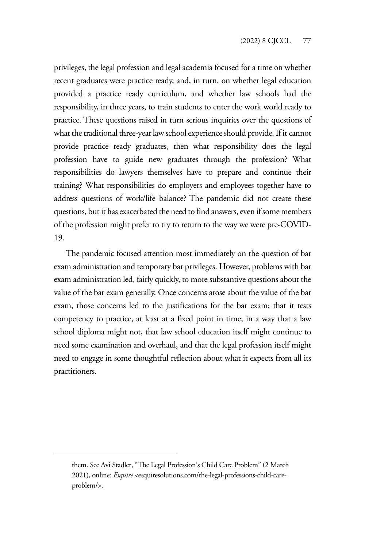privileges, the legal profession and legal academia focused for a time on whether recent graduates were practice ready, and, in turn, on whether legal education provided a practice ready curriculum, and whether law schools had the responsibility, in three years, to train students to enter the work world ready to practice. These questions raised in turn serious inquiries over the questions of what the traditional three-year law school experience should provide. If it cannot provide practice ready graduates, then what responsibility does the legal profession have to guide new graduates through the profession? What responsibilities do lawyers themselves have to prepare and continue their training? What responsibilities do employers and employees together have to address questions of work/life balance? The pandemic did not create these questions, but it has exacerbated the need to find answers, even if some members of the profession might prefer to try to return to the way we were pre-COVID-19.

The pandemic focused attention most immediately on the question of bar exam administration and temporary bar privileges. However, problems with bar exam administration led, fairly quickly, to more substantive questions about the value of the bar exam generally. Once concerns arose about the value of the bar exam, those concerns led to the justifications for the bar exam; that it tests competency to practice, at least at a fixed point in time, in a way that a law school diploma might not, that law school education itself might continue to need some examination and overhaul, and that the legal profession itself might need to engage in some thoughtful reflection about what it expects from all its practitioners.

them. See Avi Stadler, "The Legal Profession's Child Care Problem" (2 March 2021), online: *Esquire* <esquiresolutions.com/the-legal-professions-child-careproblem/>.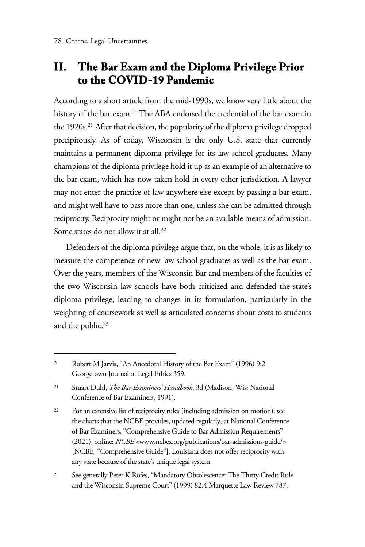### **II. The Bar Exam and the Diploma Privilege Prior to the COVID-19 Pandemic**

According to a short article from the mid-1990s, we know very little about the history of the bar exam.<sup>20</sup> The ABA endorsed the credential of the bar exam in the 1920s.21 After that decision, the popularity of the diploma privilege dropped precipitously. As of today, Wisconsin is the only U.S. state that currently maintains a permanent diploma privilege for its law school graduates. Many champions of the diploma privilege hold it up as an example of an alternative to the bar exam, which has now taken hold in every other jurisdiction. A lawyer may not enter the practice of law anywhere else except by passing a bar exam, and might well have to pass more than one, unless she can be admitted through reciprocity. Reciprocity might or might not be an available means of admission. Some states do not allow it at all.<sup>22</sup>

Defenders of the diploma privilege argue that, on the whole, it is as likely to measure the competence of new law school graduates as well as the bar exam. Over the years, members of the Wisconsin Bar and members of the faculties of the two Wisconsin law schools have both criticized and defended the state's diploma privilege, leading to changes in its formulation, particularly in the weighting of coursework as well as articulated concerns about costs to students and the public.<sup>23</sup>

<sup>20</sup> Robert M Jarvis, "An Anecdotal History of the Bar Exam" (1996) 9:2 Georgetown Journal of Legal Ethics 359.

<sup>21</sup> Stuart Duhl, *The Bar Examiners' Handbook*, 3d (Madison, Wis: National Conference of Bar Examiners, 1991).

<sup>&</sup>lt;sup>22</sup> For an extensive list of reciprocity rules (including admission on motion), see the charts that the NCBE provides, updated regularly, at National Conference of Bar Examiners, "Comprehensive Guide to Bar Admission Requirements" (2021), online: *NCBE* <www.ncbex.org/publications/bar-admissions-guide/> [NCBE, "Comprehensive Guide"]. Louisiana does not offer reciprocity with any state because of the state's unique legal system.

<sup>23</sup> See generally Peter K Rofes, "Mandatory Obsolescence: The Thirty Credit Rule and the Wisconsin Supreme Court" (1999) 82:4 Marquette Law Review 787.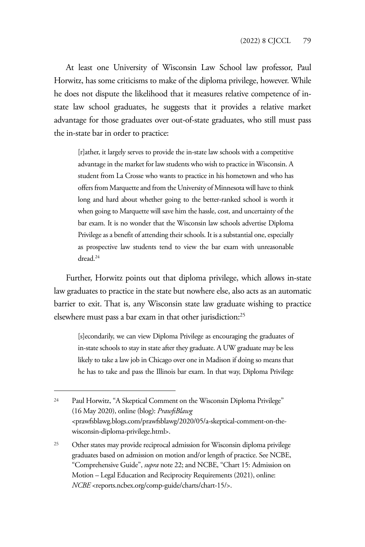At least one University of Wisconsin Law School law professor, Paul Horwitz, has some criticisms to make of the diploma privilege, however. While he does not dispute the likelihood that it measures relative competence of instate law school graduates, he suggests that it provides a relative market advantage for those graduates over out-of-state graduates, who still must pass the in-state bar in order to practice:

[r]ather, it largely serves to provide the in-state law schools with a competitive advantage in the market for law students who wish to practice in Wisconsin. A student from La Crosse who wants to practice in his hometown and who has offers from Marquette and from the University of Minnesota will have to think long and hard about whether going to the better-ranked school is worth it when going to Marquette will save him the hassle, cost, and uncertainty of the bar exam. It is no wonder that the Wisconsin law schools advertise Diploma Privilege as a benefit of attending their schools. It is a substantial one, especially as prospective law students tend to view the bar exam with unreasonable dread.24

Further, Horwitz points out that diploma privilege, which allows in-state law graduates to practice in the state but nowhere else, also acts as an automatic barrier to exit. That is, any Wisconsin state law graduate wishing to practice elsewhere must pass a bar exam in that other jurisdiction:25

[s]econdarily, we can view Diploma Privilege as encouraging the graduates of in-state schools to stay in state after they graduate. A UW graduate may be less likely to take a law job in Chicago over one in Madison if doing so means that he has to take and pass the Illinois bar exam. In that way, Diploma Privilege

<sup>24</sup> Paul Horwitz, "A Skeptical Comment on the Wisconsin Diploma Privilege" (16 May 2020), online (blog): *PrawfsBlawg*  <prawfsblawg.blogs.com/prawfsblawg/2020/05/a-skeptical-comment-on-thewisconsin-diploma-privilege.html>.

<sup>25</sup> Other states may provide reciprocal admission for Wisconsin diploma privilege graduates based on admission on motion and/or length of practice. See NCBE, "Comprehensive Guide", *supra* note 22; and NCBE, "Chart 15: Admission on Motion – Legal Education and Reciprocity Requirements (2021), online: *NCBE* <reports.ncbex.org/comp-guide/charts/chart-15/>.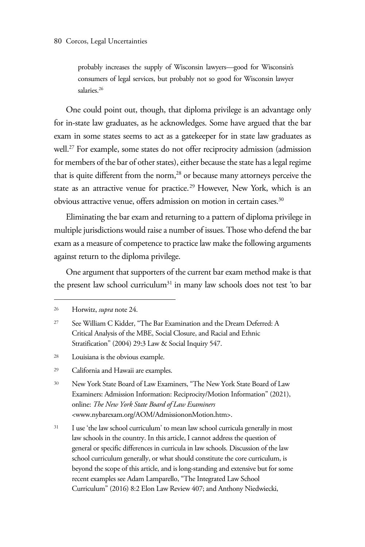probably increases the supply of Wisconsin lawyers—good for Wisconsin's consumers of legal services, but probably not so good for Wisconsin lawyer salaries.26

One could point out, though, that diploma privilege is an advantage only for in-state law graduates, as he acknowledges. Some have argued that the bar exam in some states seems to act as a gatekeeper for in state law graduates as well.<sup>27</sup> For example, some states do not offer reciprocity admission (admission for members of the bar of other states), either because the state has a legal regime that is quite different from the norm,<sup>28</sup> or because many attorneys perceive the state as an attractive venue for practice.<sup>29</sup> However, New York, which is an obvious attractive venue, offers admission on motion in certain cases.<sup>30</sup>

Eliminating the bar exam and returning to a pattern of diploma privilege in multiple jurisdictions would raise a number of issues. Those who defend the bar exam as a measure of competence to practice law make the following arguments against return to the diploma privilege.

One argument that supporters of the current bar exam method make is that the present law school curriculum<sup>31</sup> in many law schools does not test 'to bar

<sup>28</sup> Louisiana is the obvious example.

- <sup>30</sup> New York State Board of Law Examiners, "The New York State Board of Law Examiners: Admission Information: Reciprocity/Motion Information" (2021), online: *The New York State Board of Law Examiners*  <www.nybarexam.org/AOM/AdmissiononMotion.htm>.
- <sup>31</sup> I use 'the law school curriculum' to mean law school curricula generally in most law schools in the country. In this article, I cannot address the question of general or specific differences in curricula in law schools. Discussion of the law school curriculum generally, or what should constitute the core curriculum, is beyond the scope of this article, and is long-standing and extensive but for some recent examples see Adam Lamparello, "The Integrated Law School Curriculum" (2016) 8:2 Elon Law Review 407; and Anthony Niedwiecki,

<sup>26</sup> Horwitz, *supra* note 24.

<sup>27</sup> See William C Kidder, "The Bar Examination and the Dream Deferred: A Critical Analysis of the MBE, Social Closure, and Racial and Ethnic Stratification" (2004) 29:3 Law & Social Inquiry 547.

<sup>29</sup> California and Hawaii are examples.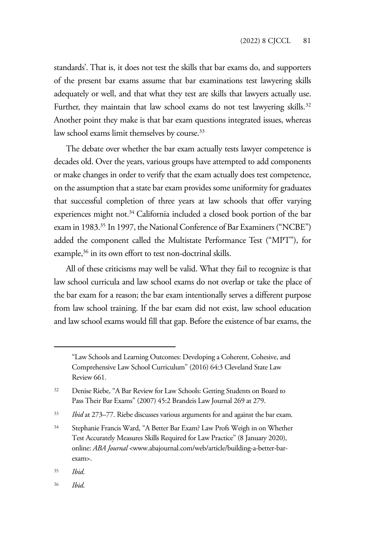standards'. That is, it does not test the skills that bar exams do, and supporters of the present bar exams assume that bar examinations test lawyering skills adequately or well, and that what they test are skills that lawyers actually use. Further, they maintain that law school exams do not test lawyering skills.<sup>32</sup> Another point they make is that bar exam questions integrated issues, whereas law school exams limit themselves by course.<sup>33</sup>

The debate over whether the bar exam actually tests lawyer competence is decades old. Over the years, various groups have attempted to add components or make changes in order to verify that the exam actually does test competence, on the assumption that a state bar exam provides some uniformity for graduates that successful completion of three years at law schools that offer varying experiences might not.<sup>34</sup> California included a closed book portion of the bar exam in 1983.<sup>35</sup> In 1997, the National Conference of Bar Examiners ("NCBE") added the component called the Multistate Performance Test ("MPT"), for example,<sup>36</sup> in its own effort to test non-doctrinal skills.

All of these criticisms may well be valid. What they fail to recognize is that law school curricula and law school exams do not overlap or take the place of the bar exam for a reason; the bar exam intentionally serves a different purpose from law school training. If the bar exam did not exist, law school education and law school exams would fill that gap. Before the existence of bar exams, the

<sup>&</sup>quot;Law Schools and Learning Outcomes: Developing a Coherent, Cohesive, and Comprehensive Law School Curriculum" (2016) 64:3 Cleveland State Law Review 661.

<sup>32</sup> Denise Riebe, "A Bar Review for Law Schools: Getting Students on Board to Pass Their Bar Exams" (2007) 45:2 Brandeis Law Journal 269 at 279.

<sup>33</sup> *Ibid* at 273–77. Riebe discusses various arguments for and against the bar exam.

<sup>34</sup> Stephanie Francis Ward, "A Better Bar Exam? Law Profs Weigh in on Whether Test Accurately Measures Skills Required for Law Practice" (8 January 2020), online: *ABA Journal* <www.abajournal.com/web/article/building-a-better-barexam>.

<sup>35</sup> *Ibid*.

<sup>36</sup> *Ibid*.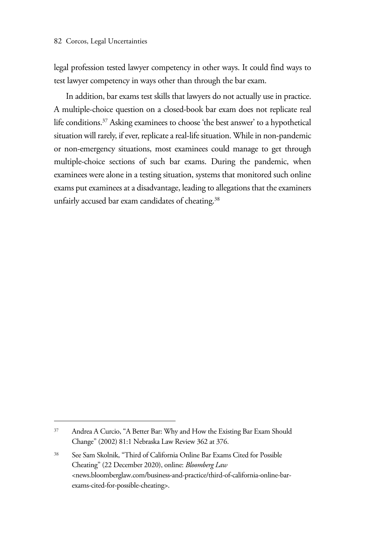legal profession tested lawyer competency in other ways. It could find ways to test lawyer competency in ways other than through the bar exam.

In addition, bar exams test skills that lawyers do not actually use in practice. A multiple-choice question on a closed-book bar exam does not replicate real life conditions.<sup>37</sup> Asking examinees to choose 'the best answer' to a hypothetical situation will rarely, if ever, replicate a real-life situation. While in non-pandemic or non-emergency situations, most examinees could manage to get through multiple-choice sections of such bar exams. During the pandemic, when examinees were alone in a testing situation, systems that monitored such online exams put examinees at a disadvantage, leading to allegations that the examiners unfairly accused bar exam candidates of cheating.<sup>38</sup>

<sup>37</sup> Andrea A Curcio, "A Better Bar: Why and How the Existing Bar Exam Should Change" (2002) 81:1 Nebraska Law Review 362 at 376.

<sup>38</sup> See Sam Skolnik, "Third of California Online Bar Exams Cited for Possible Cheating" (22 December 2020), online: *Bloomberg Law* <news.bloomberglaw.com/business-and-practice/third-of-california-online-barexams-cited-for-possible-cheating>.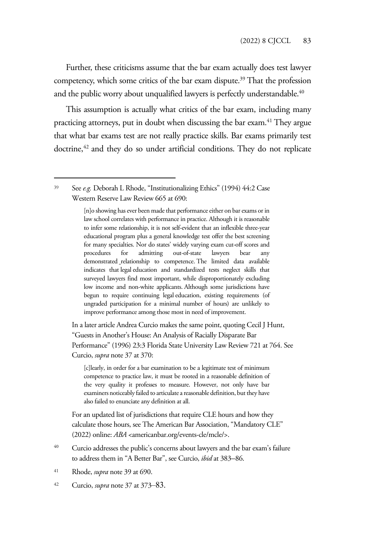Further, these criticisms assume that the bar exam actually does test lawyer competency, which some critics of the bar exam dispute.<sup>39</sup> That the profession and the public worry about unqualified lawyers is perfectly understandable.<sup>40</sup>

This assumption is actually what critics of the bar exam, including many practicing attorneys, put in doubt when discussing the bar exam.<sup>41</sup> They argue that what bar exams test are not really practice skills. Bar exams primarily test doctrine,<sup>42</sup> and they do so under artificial conditions. They do not replicate

[n]o showing has ever been made that performance either on bar exams or in law school correlates with performance in practice. Although it is reasonable to infer some relationship, it is not self-evident that an inflexible three-year educational program plus a general knowledge test offer the best screening for many specialties. Nor do states' widely varying exam cut-off scores and procedures for admitting out-of-state lawyers bear any demonstrated relationship to competence. The limited data available indicates that legal education and standardized tests neglect skills that surveyed lawyers find most important, while disproportionately excluding low income and non-white applicants. Although some jurisdictions have begun to require continuing legal education, existing requirements (of ungraded participation for a minimal number of hours) are unlikely to improve performance among those most in need of improvement.

In a later article Andrea Curcio makes the same point, quoting Cecil J Hunt, "Guests in Another's House: An Analysis of Racially Disparate Bar Performance" (1996) 23:3 Florida State University Law Review 721 at 764. See Curcio, *supra* note 37 at 370:

[c]learly, in order for a bar examination to be a legitimate test of minimum competence to practice law, it must be rooted in a reasonable definition of the very quality it professes to measure. However, not only have bar examiners noticeably failed to articulate a reasonable definition, but they have also failed to enunciate any definition at all.

For an updated list of jurisdictions that require CLE hours and how they calculate those hours, see The American Bar Association, "Mandatory CLE" (2022) online: *ABA* <americanbar.org/events-cle/mcle/>.

- <sup>40</sup> Curcio addresses the public's concerns about lawyers and the bar exam's failure to address them in "A Better Bar", see Curcio, *ibid* at 383–86.
- <sup>41</sup> Rhode, *supra* note 39 at 690.
- 42 Curcio, *supra* note 37 at 373–83.

<sup>39</sup> See *e.g.* Deborah L Rhode, "Institutionalizing Ethics" (1994) 44:2 Case Western Reserve Law Review 665 at 690: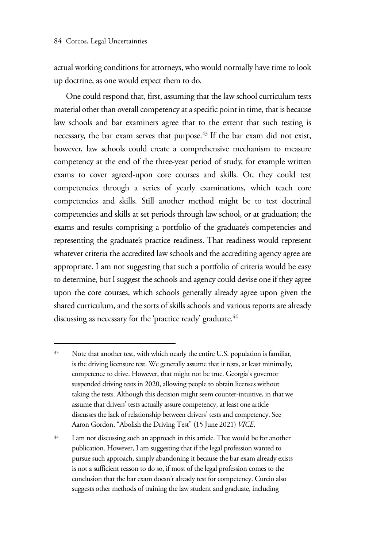actual working conditions for attorneys, who would normally have time to look up doctrine, as one would expect them to do.

One could respond that, first, assuming that the law school curriculum tests material other than overall competency at a specific point in time, that is because law schools and bar examiners agree that to the extent that such testing is necessary, the bar exam serves that purpose.<sup>43</sup> If the bar exam did not exist, however, law schools could create a comprehensive mechanism to measure competency at the end of the three-year period of study, for example written exams to cover agreed-upon core courses and skills. Or, they could test competencies through a series of yearly examinations, which teach core competencies and skills. Still another method might be to test doctrinal competencies and skills at set periods through law school, or at graduation; the exams and results comprising a portfolio of the graduate's competencies and representing the graduate's practice readiness. That readiness would represent whatever criteria the accredited law schools and the accrediting agency agree are appropriate. I am not suggesting that such a portfolio of criteria would be easy to determine, but I suggest the schools and agency could devise one if they agree upon the core courses, which schools generally already agree upon given the shared curriculum, and the sorts of skills schools and various reports are already discussing as necessary for the 'practice ready' graduate.<sup>44</sup>

<sup>43</sup> Note that another test, with which nearly the entire U.S. population is familiar, is the driving licensure test. We generally assume that it tests, at least minimally, competence to drive. However, that might not be true. Georgia's governor suspended driving tests in 2020, allowing people to obtain licenses without taking the tests. Although this decision might seem counter-intuitive, in that we assume that drivers' tests actually assure competency, at least one article discusses the lack of relationship between drivers' tests and competency. See Aaron Gordon, "Abolish the Driving Test" (15 June 2021) *VICE*.

<sup>44</sup> I am not discussing such an approach in this article. That would be for another publication. However, I am suggesting that if the legal profession wanted to pursue such approach, simply abandoning it because the bar exam already exists is not a sufficient reason to do so, if most of the legal profession comes to the conclusion that the bar exam doesn't already test for competency. Curcio also suggests other methods of training the law student and graduate, including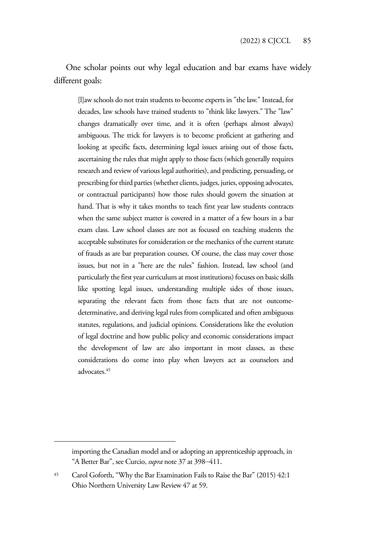One scholar points out why legal education and bar exams have widely different goals:

[l]aw schools do not train students to become experts in "the law." Instead, for decades, law schools have trained students to "think like lawyers." The "law" changes dramatically over time, and it is often (perhaps almost always) ambiguous. The trick for lawyers is to become proficient at gathering and looking at specific facts, determining legal issues arising out of those facts, ascertaining the rules that might apply to those facts (which generally requires research and review of various legal authorities), and predicting, persuading, or prescribing for third parties (whether clients, judges, juries, opposing advocates, or contractual participants) how those rules should govern the situation at hand. That is why it takes months to teach first year law students contracts when the same subject matter is covered in a matter of a few hours in a bar exam class. Law school classes are not as focused on teaching students the acceptable substitutes for consideration or the mechanics of the current statute of frauds as are bar preparation courses. Of course, the class may cover those issues, but not in a "here are the rules" fashion. Instead, law school (and particularly the first year curriculum at most institutions) focuses on basic skills like spotting legal issues, understanding multiple sides of those issues, separating the relevant facts from those facts that are not outcomedeterminative, and deriving legal rules from complicated and often ambiguous statutes, regulations, and judicial opinions. Considerations like the evolution of legal doctrine and how public policy and economic considerations impact the development of law are also important in most classes, as these considerations do come into play when lawyers act as counselors and advocates.<sup>45</sup>

importing the Canadian model and or adopting an apprenticeship approach, in "A Better Bar", see Curcio, *supra* note 37 at 398–411.

<sup>45</sup> Carol Goforth, "Why the Bar Examination Fails to Raise the Bar" (2015) 42:1 Ohio Northern University Law Review 47 at 59.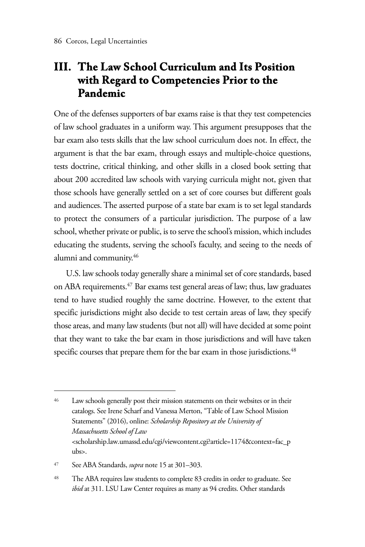#### **III. The Law School Curriculum and Its Position with Regard to Competencies Prior to the Pandemic**

One of the defenses supporters of bar exams raise is that they test competencies of law school graduates in a uniform way. This argument presupposes that the bar exam also tests skills that the law school curriculum does not. In effect, the argument is that the bar exam, through essays and multiple-choice questions, tests doctrine, critical thinking, and other skills in a closed book setting that about 200 accredited law schools with varying curricula might not, given that those schools have generally settled on a set of core courses but different goals and audiences. The asserted purpose of a state bar exam is to set legal standards to protect the consumers of a particular jurisdiction. The purpose of a law school, whether private or public, is to serve the school's mission, which includes educating the students, serving the school's faculty, and seeing to the needs of alumni and community.46

U.S. law schools today generally share a minimal set of core standards, based on ABA requirements.<sup>47</sup> Bar exams test general areas of law; thus, law graduates tend to have studied roughly the same doctrine. However, to the extent that specific jurisdictions might also decide to test certain areas of law, they specify those areas, and many law students (but not all) will have decided at some point that they want to take the bar exam in those jurisdictions and will have taken specific courses that prepare them for the bar exam in those jurisdictions.<sup>48</sup>

<sup>47</sup> See ABA Standards, *supra* note 15 at 301–303.

<sup>48</sup> The ABA requires law students to complete 83 credits in order to graduate. See *ibid* at 311. LSU Law Center requires as many as 94 credits. Other standards

<sup>46</sup> Law schools generally post their mission statements on their websites or in their catalogs. See Irene Scharf and Vanessa Merton, "Table of Law School Mission Statements" (2016), online: *Scholarship Repository at the University of Massachusetts School of Law*  <scholarship.law.umassd.edu/cgi/viewcontent.cgi?article=1174&context=fac\_p ubs>.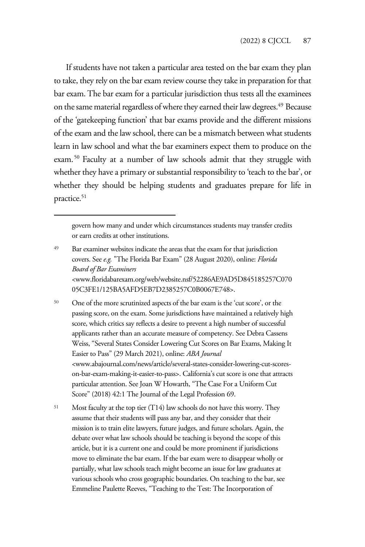If students have not taken a particular area tested on the bar exam they plan to take, they rely on the bar exam review course they take in preparation for that bar exam. The bar exam for a particular jurisdiction thus tests all the examinees on the same material regardless of where they earned their law degrees.49 Because of the 'gatekeeping function' that bar exams provide and the different missions of the exam and the law school, there can be a mismatch between what students learn in law school and what the bar examiners expect them to produce on the exam.50 Faculty at a number of law schools admit that they struggle with whether they have a primary or substantial responsibility to 'teach to the bar', or whether they should be helping students and graduates prepare for life in practice.<sup>51</sup>

govern how many and under which circumstances students may transfer credits or earn credits at other institutions.

- <sup>49</sup> Bar examiner websites indicate the areas that the exam for that jurisdiction covers. See *e.g.* "The Florida Bar Exam" (28 August 2020), online: *Florida Board of Bar Examiners*  <www.floridabarexam.org/web/website.nsf/52286AE9AD5D845185257C070 05C3FE1/125BA5AFD5EB7D2385257C0B0067E748>.
- <sup>50</sup> One of the more scrutinized aspects of the bar exam is the 'cut score', or the passing score, on the exam. Some jurisdictions have maintained a relatively high score, which critics say reflects a desire to prevent a high number of successful applicants rather than an accurate measure of competency. See Debra Cassens Weiss, "Several States Consider Lowering Cut Scores on Bar Exams, Making It Easier to Pass" (29 March 2021), online: *ABA Journal*  <www.abajournal.com/news/article/several-states-consider-lowering-cut-scoreson-bar-exam-making-it-easier-to-pass>. California's cut score is one that attracts particular attention. See Joan W Howarth, "The Case For a Uniform Cut Score" (2018) 42:1 The Journal of the Legal Profession 69.
- <sup>51</sup> Most faculty at the top tier (T14) law schools do not have this worry. They assume that their students will pass any bar, and they consider that their mission is to train elite lawyers, future judges, and future scholars. Again, the debate over what law schools should be teaching is beyond the scope of this article, but it is a current one and could be more prominent if jurisdictions move to eliminate the bar exam. If the bar exam were to disappear wholly or partially, what law schools teach might become an issue for law graduates at various schools who cross geographic boundaries. On teaching to the bar, see Emmeline Paulette Reeves, "Teaching to the Test: The Incorporation of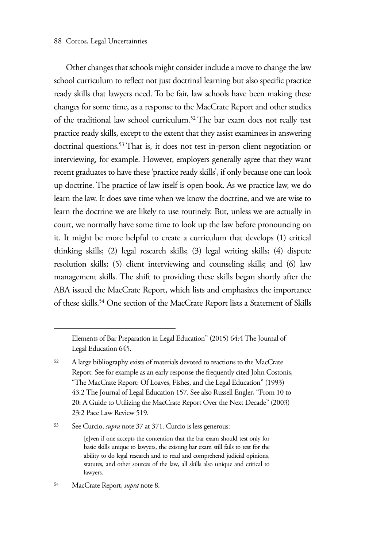#### 88 Corcos, Legal Uncertainties

Other changes that schools might consider include a move to change the law school curriculum to reflect not just doctrinal learning but also specific practice ready skills that lawyers need. To be fair, law schools have been making these changes for some time, as a response to the MacCrate Report and other studies of the traditional law school curriculum.52 The bar exam does not really test practice ready skills, except to the extent that they assist examinees in answering doctrinal questions.<sup>53</sup> That is, it does not test in-person client negotiation or interviewing, for example. However, employers generally agree that they want recent graduates to have these 'practice ready skills', if only because one can look up doctrine. The practice of law itself is open book. As we practice law, we do learn the law. It does save time when we know the doctrine, and we are wise to learn the doctrine we are likely to use routinely. But, unless we are actually in court, we normally have some time to look up the law before pronouncing on it. It might be more helpful to create a curriculum that develops (1) critical thinking skills; (2) legal research skills; (3) legal writing skills; (4) dispute resolution skills; (5) client interviewing and counseling skills; and (6) law management skills. The shift to providing these skills began shortly after the ABA issued the MacCrate Report, which lists and emphasizes the importance of these skills.54 One section of the MacCrate Report lists a Statement of Skills

<sup>53</sup> See Curcio, *supra* note 37 at 371. Curcio is less generous:

Elements of Bar Preparation in Legal Education" (2015) 64:4 The Journal of Legal Education 645.

<sup>&</sup>lt;sup>52</sup> A large bibliography exists of materials devoted to reactions to the MacCrate Report. See for example as an early response the frequently cited John Costonis, "The MacCrate Report: Of Loaves, Fishes, and the Legal Education" (1993) 43:2 The Journal of Legal Education 157. See also Russell Engler, "From 10 to 20: A Guide to Utilizing the MacCrate Report Over the Next Decade" (2003) 23:2 Pace Law Review 519.

<sup>[</sup>e]ven if one accepts the contention that the bar exam should test only for basic skills unique to lawyers, the existing bar exam still fails to test for the ability to do legal research and to read and comprehend judicial opinions, statutes, and other sources of the law, all skills also unique and critical to lawyers.

<sup>54</sup> MacCrate Report, *supra* note 8.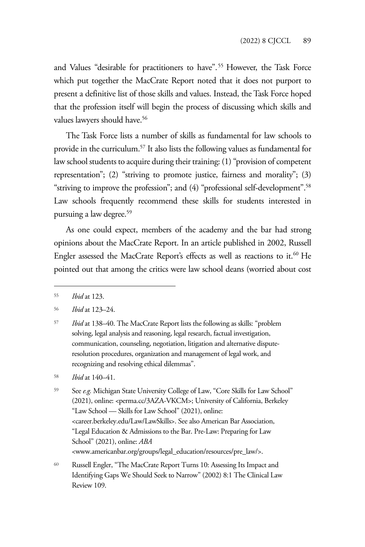and Values "desirable for practitioners to have".<sup>55</sup> However, the Task Force which put together the MacCrate Report noted that it does not purport to present a definitive list of those skills and values. Instead, the Task Force hoped that the profession itself will begin the process of discussing which skills and values lawyers should have.<sup>56</sup>

The Task Force lists a number of skills as fundamental for law schools to provide in the curriculum.57 It also lists the following values as fundamental for law school students to acquire during their training: (1) "provision of competent representation"; (2) "striving to promote justice, fairness and morality"; (3) "striving to improve the profession"; and (4) "professional self-development".58 Law schools frequently recommend these skills for students interested in pursuing a law degree.59

As one could expect, members of the academy and the bar had strong opinions about the MacCrate Report. In an article published in 2002, Russell Engler assessed the MacCrate Report's effects as well as reactions to it.<sup>60</sup> He pointed out that among the critics were law school deans (worried about cost

<sup>55</sup> *Ibid* at 123.

<sup>56</sup> *Ibid* at 123–24.

<sup>57</sup> *Ibid* at 138–40. The MacCrate Report lists the following as skills: "problem solving, legal analysis and reasoning, legal research, factual investigation, communication, counseling, negotiation, litigation and alternative disputeresolution procedures, organization and management of legal work, and recognizing and resolving ethical dilemmas".

<sup>58</sup> *Ibid* at 140–41.

<sup>59</sup> See *e.g.* Michigan State University College of Law, "Core Skills for Law School" (2021), online: <perma.cc/3AZA-VKCM>; University of California, Berkeley "Law School — Skills for Law School" (2021), online: <career.berkeley.edu/Law/LawSkills>. See also American Bar Association, "Legal Education & Admissions to the Bar. Pre-Law: Preparing for Law School" (2021), online: *ABA*  <www.americanbar.org/groups/legal\_education/resources/pre\_law/>.

<sup>60</sup> Russell Engler, "The MacCrate Report Turns 10: Assessing Its Impact and Identifying Gaps We Should Seek to Narrow" (2002) 8:1 The Clinical Law Review 109.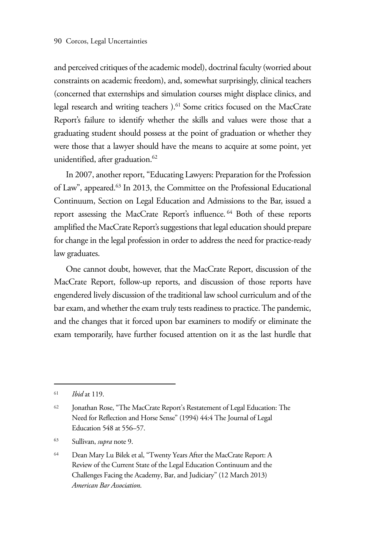and perceived critiques of the academic model), doctrinal faculty (worried about constraints on academic freedom), and, somewhat surprisingly, clinical teachers (concerned that externships and simulation courses might displace clinics, and legal research and writing teachers ).61 Some critics focused on the MacCrate Report's failure to identify whether the skills and values were those that a graduating student should possess at the point of graduation or whether they were those that a lawyer should have the means to acquire at some point, yet unidentified, after graduation.<sup>62</sup>

In 2007, another report, "Educating Lawyers: Preparation for the Profession of Law", appeared.63 In 2013, the Committee on the Professional Educational Continuum, Section on Legal Education and Admissions to the Bar, issued a report assessing the MacCrate Report's influence. 64 Both of these reports amplified the MacCrate Report's suggestions that legal education should prepare for change in the legal profession in order to address the need for practice-ready law graduates.

One cannot doubt, however, that the MacCrate Report, discussion of the MacCrate Report, follow-up reports, and discussion of those reports have engendered lively discussion of the traditional law school curriculum and of the bar exam, and whether the exam truly tests readiness to practice. The pandemic, and the changes that it forced upon bar examiners to modify or eliminate the exam temporarily, have further focused attention on it as the last hurdle that

63 Sullivan, *supra* note 9.

<sup>61</sup> *Ibid* at 119.

<sup>62</sup> Jonathan Rose, "The MacCrate Report's Restatement of Legal Education: The Need for Reflection and Horse Sense" (1994) 44:4 The Journal of Legal Education 548 at 556–57.

<sup>64</sup> Dean Mary Lu Bilek et al, "Twenty Years After the MacCrate Report: A Review of the Current State of the Legal Education Continuum and the Challenges Facing the Academy, Bar, and Judiciary" (12 March 2013) *American Bar Association*.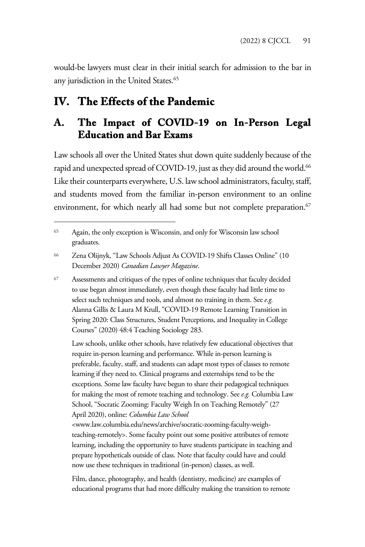would-be lawyers must clear in their initial search for admission to the bar in any jurisdiction in the United States.<sup>65</sup>

### **IV. The Effects of the Pandemic**

#### **A. The Impact of COVID-19 on In-Person Legal Education and Bar Exams**

Law schools all over the United States shut down quite suddenly because of the rapid and unexpected spread of COVID-19, just as they did around the world.<sup>66</sup> Like their counterparts everywhere, U.S. law school administrators, faculty, staff, and students moved from the familiar in-person environment to an online environment, for which nearly all had some but not complete preparation.<sup>67</sup>

<sup>67</sup> Assessments and critiques of the types of online techniques that faculty decided to use began almost immediately, even though these faculty had little time to select such techniques and tools, and almost no training in them. See *e.g.* Alanna Gillis & Laura M Krull, "COVID-19 Remote Learning Transition in Spring 2020: Class Structures, Student Perceptions, and Inequality in College Courses" (2020) 48:4 Teaching Sociology 283.

 Law schools, unlike other schools, have relatively few educational objectives that require in-person learning and performance. While in-person learning is preferable, faculty, staff, and students can adapt most types of classes to remote learning if they need to. Clinical programs and externships tend to be the exceptions. Some law faculty have begun to share their pedagogical techniques for making the most of remote teaching and technology. See *e.g.* Columbia Law School, "Socratic Zooming: Faculty Weigh In on Teaching Remotely" (27 April 2020), online: *Columbia Law School* 

<www.law.columbia.edu/news/archive/socratic-zooming-faculty-weighteaching-remotely>. Some faculty point out some positive attributes of remote learning, including the opportunity to have students participate in teaching and prepare hypotheticals outside of class. Note that faculty could have and could now use these techniques in traditional (in-person) classes, as well.

Film, dance, photography, and health (dentistry, medicine) are examples of educational programs that had more difficulty making the transition to remote

<sup>65</sup> Again, the only exception is Wisconsin, and only for Wisconsin law school graduates.

<sup>66</sup> Zena Olijnyk, "Law Schools Adjust As COVID-19 Shifts Classes Online" (10 December 2020) *Canadian Lawyer Magazine*.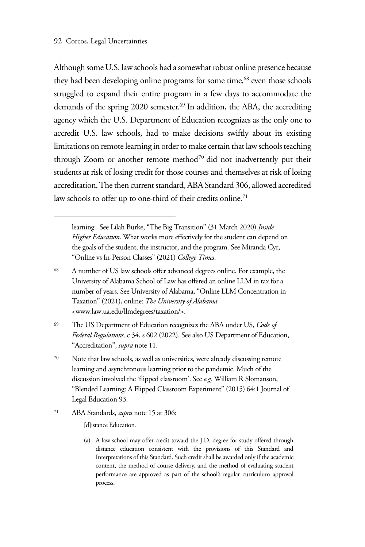Although some U.S. law schools had a somewhat robust online presence because they had been developing online programs for some time,<sup>68</sup> even those schools struggled to expand their entire program in a few days to accommodate the demands of the spring 2020 semester.<sup>69</sup> In addition, the ABA, the accrediting agency which the U.S. Department of Education recognizes as the only one to accredit U.S. law schools, had to make decisions swiftly about its existing limitations on remote learning in order to make certain that law schools teaching through Zoom or another remote method<sup>70</sup> did not inadvertently put their students at risk of losing credit for those courses and themselves at risk of losing accreditation. The then current standard, ABA Standard 306, allowed accredited law schools to offer up to one-third of their credits online.<sup>71</sup>

- <sup>68</sup> A number of US law schools offer advanced degrees online. For example, the University of Alabama School of Law has offered an online LLM in tax for a number of years. See University of Alabama, "Online LLM Concentration in Taxation" (2021), online: *The University of Alabama*  <www.law.ua.edu/llmdegrees/taxation/>.
- <sup>69</sup> The US Department of Education recognizes the ABA under US, *Code of Federal Regulations,* c 34, s 602 (2022). See also US Department of Education, "Accreditation", *supra* note 11.
- <sup>70</sup> Note that law schools, as well as universities, were already discussing remote learning and asynchronous learning prior to the pandemic. Much of the discussion involved the 'flipped classroom'. See *e.g.* William R Slomanson, "Blended Learning: A Flipped Classroom Experiment" (2015) 64:1 Journal of Legal Education 93.
- <sup>71</sup> ABA Standards, *supra* note 15 at 306:
	- [d]istance Education.
	- (a) A law school may offer credit toward the J.D. degree for study offered through distance education consistent with the provisions of this Standard and Interpretations of this Standard. Such credit shall be awarded only if the academic content, the method of course delivery, and the method of evaluating student performance are approved as part of the school's regular curriculum approval process.

learning. See Lilah Burke, "The Big Transition" (31 March 2020) *Inside Higher Education*. What works more effectively for the student can depend on the goals of the student, the instructor, and the program. See Miranda Cyr, "Online vs In-Person Classes" (2021) *College Times*.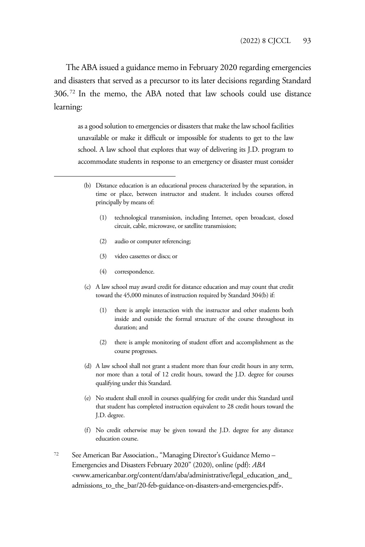The ABA issued a guidance memo in February 2020 regarding emergencies and disasters that served as a precursor to its later decisions regarding Standard 306. 72 In the memo, the ABA noted that law schools could use distance learning:

as a good solution to emergencies or disasters that make the law school facilities unavailable or make it difficult or impossible for students to get to the law school. A law school that explores that way of delivering its J.D. program to accommodate students in response to an emergency or disaster must consider

- (1) technological transmission, including Internet, open broadcast, closed circuit, cable, microwave, or satellite transmission;
- (2) audio or computer referencing;
- (3) video cassettes or discs; or
- (4) correspondence.
- (c) A law school may award credit for distance education and may count that credit toward the 45,000 minutes of instruction required by Standard 304(b) if:
	- (1) there is ample interaction with the instructor and other students both inside and outside the formal structure of the course throughout its duration; and
	- (2) there is ample monitoring of student effort and accomplishment as the course progresses.
- (d) A law school shall not grant a student more than four credit hours in any term, nor more than a total of 12 credit hours, toward the J.D. degree for courses qualifying under this Standard.
- (e) No student shall enroll in courses qualifying for credit under this Standard until that student has completed instruction equivalent to 28 credit hours toward the J.D. degree.
- (f) No credit otherwise may be given toward the J.D. degree for any distance education course.
- <sup>72</sup> See American Bar Association., "Managing Director's Guidance Memo Emergencies and Disasters February 2020" (2020), online (pdf): *ABA*  <www.americanbar.org/content/dam/aba/administrative/legal\_education\_and\_ admissions\_to\_the\_bar/20-feb-guidance-on-disasters-and-emergencies.pdf>.

<sup>(</sup>b) Distance education is an educational process characterized by the separation, in time or place, between instructor and student. It includes courses offered principally by means of: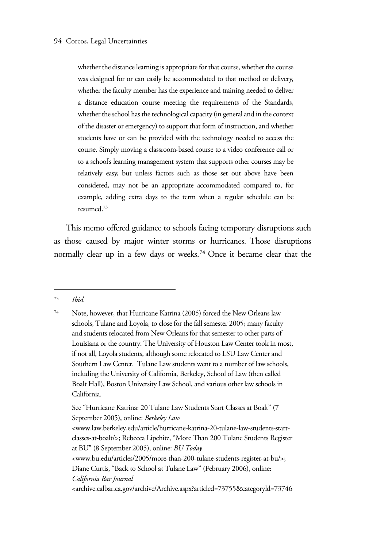whether the distance learning is appropriate for that course, whether the course was designed for or can easily be accommodated to that method or delivery, whether the faculty member has the experience and training needed to deliver a distance education course meeting the requirements of the Standards, whether the school has the technological capacity (in general and in the context of the disaster or emergency) to support that form of instruction, and whether students have or can be provided with the technology needed to access the course. Simply moving a classroom-based course to a video conference call or to a school's learning management system that supports other courses may be relatively easy, but unless factors such as those set out above have been considered, may not be an appropriate accommodated compared to, for example, adding extra days to the term when a regular schedule can be resumed.73

This memo offered guidance to schools facing temporary disruptions such as those caused by major winter storms or hurricanes. Those disruptions normally clear up in a few days or weeks.<sup>74</sup> Once it became clear that the

<sup>73</sup> *Ibid*.

<sup>74</sup> Note, however, that Hurricane Katrina (2005) forced the New Orleans law schools, Tulane and Loyola, to close for the fall semester 2005; many faculty and students relocated from New Orleans for that semester to other parts of Louisiana or the country. The University of Houston Law Center took in most, if not all, Loyola students, although some relocated to LSU Law Center and Southern Law Center. Tulane Law students went to a number of law schools, including the University of California, Berkeley, School of Law (then called Boalt Hall), Boston University Law School, and various other law schools in California.

See "Hurricane Katrina: 20 Tulane Law Students Start Classes at Boalt" (7 September 2005), online: *Berkeley Law* 

<sup>&</sup>lt;www.law.berkeley.edu/article/hurricane-katrina-20-tulane-law-students-startclasses-at-boalt/>; Rebecca Lipchitz, "More Than 200 Tulane Students Register at BU" (8 September 2005), online: *BU Today*

<sup>&</sup>lt;www.bu.edu/articles/2005/more-than-200-tulane-students-register-at-bu/>; Diane Curtis, "Back to School at Tulane Law" (February 2006), online: *California Bar Journal* 

<sup>&</sup>lt;archive.calbar.ca.gov/archive/Archive.aspx?articled=73755&categoryld=73746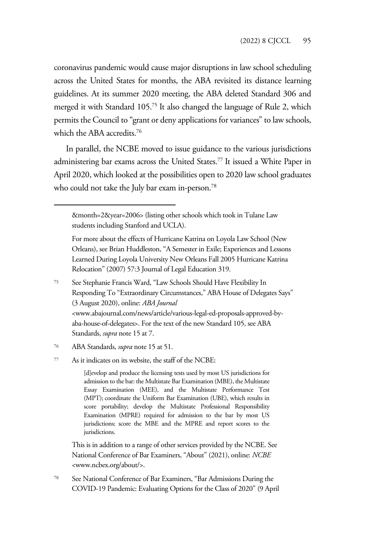coronavirus pandemic would cause major disruptions in law school scheduling across the United States for months, the ABA revisited its distance learning guidelines. At its summer 2020 meeting, the ABA deleted Standard 306 and merged it with Standard 105.75 It also changed the language of Rule 2, which permits the Council to "grant or deny applications for variances" to law schools, which the ABA accredits.76

In parallel, the NCBE moved to issue guidance to the various jurisdictions administering bar exams across the United States.<sup>77</sup> It issued a White Paper in April 2020, which looked at the possibilities open to 2020 law school graduates who could not take the July bar exam in-person.<sup>78</sup>

&month=2&year=2006> (listing other schools which took in Tulane Law students including Stanford and UCLA).

<sup>75</sup> See Stephanie Francis Ward, "Law Schools Should Have Flexibility In Responding To "Extraordinary Circumstances," ABA House of Delegates Says" (3 August 2020), online: *ABA Journal*  <www.abajournal.com/news/article/various-legal-ed-proposals-approved-byaba-house-of-delegates>. For the text of the new Standard 105, see ABA Standards, *supra* note 15 at 7.

[d]evelop and produce the licensing tests used by most US jurisdictions for admission to the bar: the Multistate Bar Examination (MBE), the Multistate Essay Examination (MEE), and the Multistate Performance Test (MPT); coordinate the Uniform Bar Examination (UBE), which results in score portability; develop the Multistate Professional Responsibility Examination (MPRE) required for admission to the bar by most US jurisdictions; score the MBE and the MPRE and report scores to the jurisdictions.

This is in addition to a range of other services provided by the NCBE. See National Conference of Bar Examiners, "About" (2021), online: *NCBE*  <www.ncbex.org/about/>.

<sup>78</sup> See National Conference of Bar Examiners, "Bar Admissions During the COVID-19 Pandemic: Evaluating Options for the Class of 2020" (9 April

For more about the effects of Hurricane Katrina on Loyola Law School (New Orleans), see Brian Huddleston, "A Semester in Exile; Experiences and Lessons Learned During Loyola University New Orleans Fall 2005 Hurricane Katrina Relocation" (2007) 57:3 Journal of Legal Education 319.

<sup>76</sup> ABA Standards, *supra* note 15 at 51.

<sup>77</sup> As it indicates on its website, the staff of the NCBE: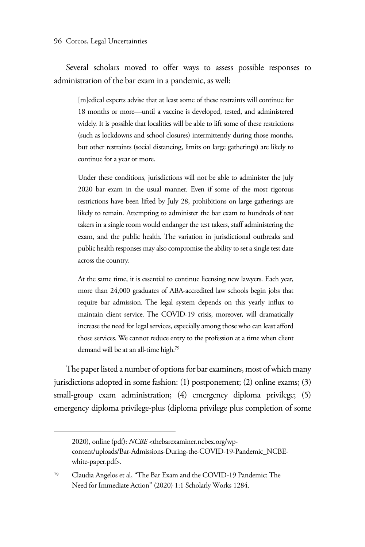Several scholars moved to offer ways to assess possible responses to administration of the bar exam in a pandemic, as well:

[m]edical experts advise that at least some of these restraints will continue for 18 months or more—until a vaccine is developed, tested, and administered widely. It is possible that localities will be able to lift some of these restrictions (such as lockdowns and school closures) intermittently during those months, but other restraints (social distancing, limits on large gatherings) are likely to continue for a year or more.

Under these conditions, jurisdictions will not be able to administer the July 2020 bar exam in the usual manner. Even if some of the most rigorous restrictions have been lifted by July 28, prohibitions on large gatherings are likely to remain. Attempting to administer the bar exam to hundreds of test takers in a single room would endanger the test takers, staff administering the exam, and the public health. The variation in jurisdictional outbreaks and public health responses may also compromise the ability to set a single test date across the country.

At the same time, it is essential to continue licensing new lawyers. Each year, more than 24,000 graduates of ABA-accredited law schools begin jobs that require bar admission. The legal system depends on this yearly influx to maintain client service. The COVID-19 crisis, moreover, will dramatically increase the need for legal services, especially among those who can least afford those services. We cannot reduce entry to the profession at a time when client demand will be at an all-time high.79

The paper listed a number of options for bar examiners, most of which many jurisdictions adopted in some fashion: (1) postponement; (2) online exams; (3) small-group exam administration; (4) emergency diploma privilege; (5) emergency diploma privilege-plus (diploma privilege plus completion of some

<sup>2020),</sup> online (pdf): *NCBE* <thebarexaminer.ncbex.org/wpcontent/uploads/Bar-Admissions-During-the-COVID-19-Pandemic\_NCBEwhite-paper.pdf>.

<sup>79</sup> Claudia Angelos et al, "The Bar Exam and the COVID-19 Pandemic: The Need for Immediate Action" (2020) 1:1 Scholarly Works 1284.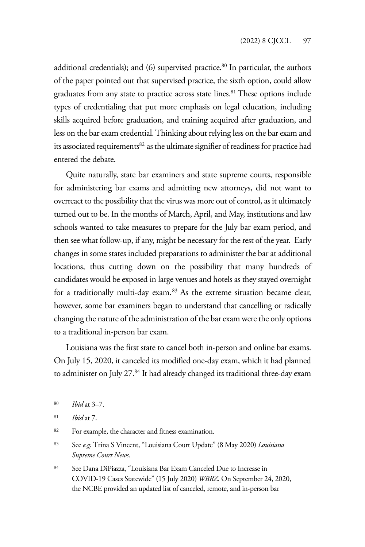additional credentials); and  $(6)$  supervised practice.<sup>80</sup> In particular, the authors of the paper pointed out that supervised practice, the sixth option, could allow graduates from any state to practice across state lines.<sup>81</sup> These options include types of credentialing that put more emphasis on legal education, including skills acquired before graduation, and training acquired after graduation, and less on the bar exam credential. Thinking about relying less on the bar exam and its associated requirements<sup>82</sup> as the ultimate signifier of readiness for practice had entered the debate.

Quite naturally, state bar examiners and state supreme courts, responsible for administering bar exams and admitting new attorneys, did not want to overreact to the possibility that the virus was more out of control, as it ultimately turned out to be. In the months of March, April, and May, institutions and law schools wanted to take measures to prepare for the July bar exam period, and then see what follow-up, if any, might be necessary for the rest of the year. Early changes in some states included preparations to administer the bar at additional locations, thus cutting down on the possibility that many hundreds of candidates would be exposed in large venues and hotels as they stayed overnight for a traditionally multi-day exam.<sup>83</sup> As the extreme situation became clear, however, some bar examiners began to understand that cancelling or radically changing the nature of the administration of the bar exam were the only options to a traditional in-person bar exam.

Louisiana was the first state to cancel both in-person and online bar exams. On July 15, 2020, it canceled its modified one-day exam, which it had planned to administer on July 27.<sup>84</sup> It had already changed its traditional three-day exam

<sup>84</sup> See Dana DiPiazza, "Louisiana Bar Exam Canceled Due to Increase in COVID-19 Cases Statewide" (15 July 2020) *WBRZ*. On September 24, 2020, the NCBE provided an updated list of canceled, remote, and in-person bar

<sup>80</sup> *Ibid* at 3–7.

<sup>81</sup> *Ibid* at 7.

<sup>82</sup> For example, the character and fitness examination.

<sup>83</sup> See *e.g.* Trina S Vincent, "Louisiana Court Update" (8 May 2020) *Louisiana Supreme Court News*.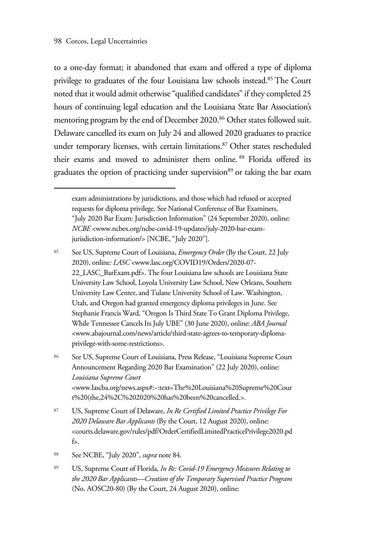to a one-day format; it abandoned that exam and offered a type of diploma privilege to graduates of the four Louisiana law schools instead.85 The Court noted that it would admit otherwise "qualified candidates" if they completed 25 hours of continuing legal education and the Louisiana State Bar Association's mentoring program by the end of December 2020.<sup>86</sup> Other states followed suit. Delaware cancelled its exam on July 24 and allowed 2020 graduates to practice under temporary licenses, with certain limitations.<sup>87</sup> Other states rescheduled their exams and moved to administer them online. 88 Florida offered its graduates the option of practicing under supervision<sup>89</sup> or taking the bar exam

<sup>86</sup> See US, Supreme Court of Louisiana, Press Release, "Louisiana Supreme Court Announcement Regarding 2020 Bar Examination" (22 July 2020), online: *Louisiana Supreme Court*  <www.lascba.org/news.aspx#:~:text=The%20Louisiana%20Supreme%20Cour t%20(the,24%2C%202020%20has%20been%20cancelled.>.

- <sup>87</sup> US, Supreme Court of Delaware, *In Re Certified Limited Practice Privilege For 2020 Delaware Bar Applicants* (By the Court, 12 August 2020), online: <courts.delaware.gov/rules/pdf/OrderCertifiedLimitedPracticePrivilege2020.pd f>.
- <sup>88</sup> See NCBE, "July 2020", *supra* note 84.
- <sup>89</sup> US, Supreme Court of Florida, *In Re: Covid-19 Emergency Measures Relating to the 2020 Bar Applicants—Creation of the Temporary Supervised Practice Program* (No. AOSC20-80) (By the Court, 24 August 2020), online:

exam administrations by jurisdictions, and those which had refused or accepted requests for diploma privilege. See National Conference of Bar Examiners, "July 2020 Bar Exam: Jurisdiction Information" (24 September 2020), online: *NCBE* <www.ncbex.org/ncbe-covid-19-updates/july-2020-bar-examjurisdiction-information/> [NCBE, "July 2020"].

<sup>85</sup> See US, Supreme Court of Louisiana, *Emergency Order* (By the Court, 22 July 2020), online*: LASC* <www.lasc.org/COVID19/Orders/2020-07- 22\_LASC\_BarExam.pdf>. The four Louisiana law schools are Louisiana State University Law School, Loyola University Law School, New Orleans, Southern University Law Center, and Tulane University School of Law. Washington, Utah, and Oregon had granted emergency diploma privileges in June. See Stephanie Francis Ward, "Oregon Is Third State To Grant Diploma Privilege, While Tennessee Cancels Its July UBE" (30 June 2020), online: *ABA Journal*  <www.abajournal.com/news/article/third-state-agrees-to-temporary-diplomaprivilege-with-some-restrictions>.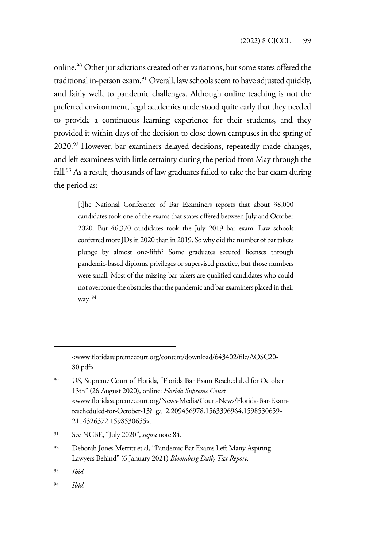online.90 Other jurisdictions created other variations, but some states offered the traditional in-person exam.<sup>91</sup> Overall, law schools seem to have adjusted quickly, and fairly well, to pandemic challenges. Although online teaching is not the preferred environment, legal academics understood quite early that they needed to provide a continuous learning experience for their students, and they provided it within days of the decision to close down campuses in the spring of 2020.92 However, bar examiners delayed decisions, repeatedly made changes, and left examinees with little certainty during the period from May through the fall.<sup>93</sup> As a result, thousands of law graduates failed to take the bar exam during the period as:

[t]he National Conference of Bar Examiners reports that about 38,000 candidates took one of the exams that states offered between July and October 2020. But 46,370 candidates took the July 2019 bar exam. Law schools conferred more JDs in 2020 than in 2019. So why did the number of bar takers plunge by almost one-fifth? Some graduates secured licenses through pandemic-based diploma privileges or supervised practice, but those numbers were small. Most of the missing bar takers are qualified candidates who could not overcome the obstacles that the pandemic and bar examiners placed in their way. 94

<sup>&</sup>lt;www.floridasupremecourt.org/content/download/643402/file/AOSC20- 80.pdf>.

<sup>90</sup> US, Supreme Court of Florida, "Florida Bar Exam Rescheduled for October 13th" (26 August 2020), online: *Florida Supreme Court*  <www.floridasupremecourt.org/News-Media/Court-News/Florida-Bar-Examrescheduled-for-October-13?\_ga=2.209456978.1563396964.1598530659- 2114326372.1598530655>.

<sup>91</sup> See NCBE, "July 2020", *supra* note 84.

<sup>92</sup> Deborah Jones Merritt et al, "Pandemic Bar Exams Left Many Aspiring Lawyers Behind" (6 January 2021) *Bloomberg Daily Tax Report*.

<sup>93</sup> *Ibid*.

<sup>94</sup> *Ibid*.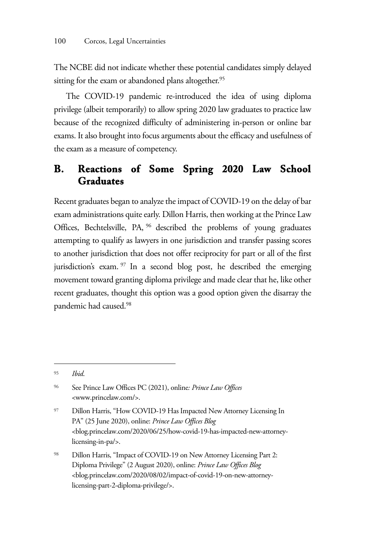The NCBE did not indicate whether these potential candidates simply delayed sitting for the exam or abandoned plans altogether.<sup>95</sup>

The COVID-19 pandemic re-introduced the idea of using diploma privilege (albeit temporarily) to allow spring 2020 law graduates to practice law because of the recognized difficulty of administering in-person or online bar exams. It also brought into focus arguments about the efficacy and usefulness of the exam as a measure of competency.

#### **B. Reactions of Some Spring 2020 Law School Graduates**

Recent graduates began to analyze the impact of COVID-19 on the delay of bar exam administrations quite early. Dillon Harris, then working at the Prince Law Offices, Bechtelsville, PA, 96 described the problems of young graduates attempting to qualify as lawyers in one jurisdiction and transfer passing scores to another jurisdiction that does not offer reciprocity for part or all of the first jurisdiction's exam. <sup>97</sup> In a second blog post, he described the emerging movement toward granting diploma privilege and made clear that he, like other recent graduates, thought this option was a good option given the disarray the pandemic had caused.98

<sup>95</sup> *Ibid*.

<sup>96</sup> See Prince Law Offices PC (2021), online*: Prince Law Offices* <www.princelaw.com/>.

<sup>97</sup> Dillon Harris, "How COVID-19 Has Impacted New Attorney Licensing In PA" (25 June 2020), online: *Prince Law Offices Blog*  <blog.princelaw.com/2020/06/25/how-covid-19-has-impacted-new-attorneylicensing-in-pa/>.

<sup>98</sup> Dillon Harris, "Impact of COVID-19 on New Attorney Licensing Part 2: Diploma Privilege" (2 August 2020), online: *Prince Law Offices Blog*  <blog.princelaw.com/2020/08/02/impact-of-covid-19-on-new-attorneylicensing-part-2-diploma-privilege/>.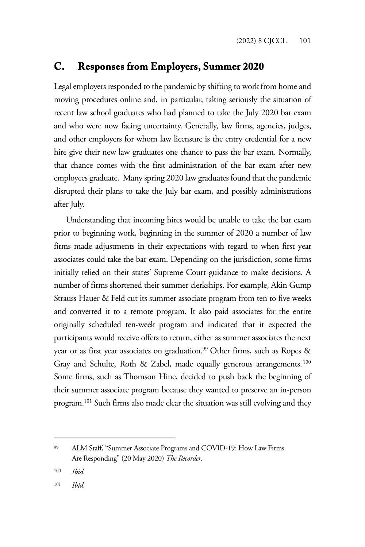#### **C. Responses from Employers, Summer 2020**

Legal employers responded to the pandemic by shifting to work from home and moving procedures online and, in particular, taking seriously the situation of recent law school graduates who had planned to take the July 2020 bar exam and who were now facing uncertainty. Generally, law firms, agencies, judges, and other employers for whom law licensure is the entry credential for a new hire give their new law graduates one chance to pass the bar exam. Normally, that chance comes with the first administration of the bar exam after new employees graduate. Many spring 2020 law graduates found that the pandemic disrupted their plans to take the July bar exam, and possibly administrations after July.

Understanding that incoming hires would be unable to take the bar exam prior to beginning work, beginning in the summer of 2020 a number of law firms made adjustments in their expectations with regard to when first year associates could take the bar exam. Depending on the jurisdiction, some firms initially relied on their states' Supreme Court guidance to make decisions. A number of firms shortened their summer clerkships. For example, Akin Gump Strauss Hauer & Feld cut its summer associate program from ten to five weeks and converted it to a remote program. It also paid associates for the entire originally scheduled ten-week program and indicated that it expected the participants would receive offers to return, either as summer associates the next year or as first year associates on graduation.<sup>99</sup> Other firms, such as Ropes & Gray and Schulte, Roth & Zabel, made equally generous arrangements.<sup>100</sup> Some firms, such as Thomson Hine, decided to push back the beginning of their summer associate program because they wanted to preserve an in-person program.101 Such firms also made clear the situation was still evolving and they

<sup>99</sup> ALM Staff, "Summer Associate Programs and COVID-19: How Law Firms Are Responding" (20 May 2020) *The Recorder*.

<sup>100</sup> *Ibid*.

<sup>101</sup> *Ibid*.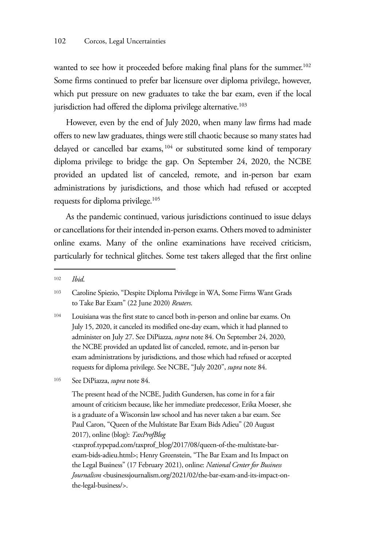wanted to see how it proceeded before making final plans for the summer.<sup>102</sup> Some firms continued to prefer bar licensure over diploma privilege, however, which put pressure on new graduates to take the bar exam, even if the local jurisdiction had offered the diploma privilege alternative.<sup>103</sup>

However, even by the end of July 2020, when many law firms had made offers to new law graduates, things were still chaotic because so many states had delayed or cancelled bar exams, 104 or substituted some kind of temporary diploma privilege to bridge the gap. On September 24, 2020, the NCBE provided an updated list of canceled, remote, and in-person bar exam administrations by jurisdictions, and those which had refused or accepted requests for diploma privilege.<sup>105</sup>

As the pandemic continued, various jurisdictions continued to issue delays or cancellations for their intended in-person exams. Others moved to administer online exams. Many of the online examinations have received criticism, particularly for technical glitches. Some test takers alleged that the first online

exam-bids-adieu.html>; Henry Greenstein, "The Bar Exam and Its Impact on the Legal Business" (17 February 2021), online: *National Center for Business Journalism* <br/>businessjournalism.org/2021/02/the-bar-exam-and-its-impact-onthe-legal-business/>.

<sup>102</sup> *Ibid*.

<sup>103</sup> Caroline Spiezio, "Despite Diploma Privilege in WA, Some Firms Want Grads to Take Bar Exam" (22 June 2020) *Reuters*.

<sup>104</sup> Louisiana was the first state to cancel both in-person and online bar exams. On July 15, 2020, it canceled its modified one-day exam, which it had planned to administer on July 27. See DiPiazza, *supra* note 84. On September 24, 2020, the NCBE provided an updated list of canceled, remote, and in-person bar exam administrations by jurisdictions, and those which had refused or accepted requests for diploma privilege. See NCBE, "July 2020", *supra* note 84.

<sup>105</sup> See DiPiazza, *supra* note 84.

The present head of the NCBE, Judith Gundersen, has come in for a fair amount of criticism because, like her immediate predecessor, Erika Moeser, she is a graduate of a Wisconsin law school and has never taken a bar exam. See Paul Caron, "Queen of the Multistate Bar Exam Bids Adieu" (20 August 2017), online (blog): *TaxProfBlog* <taxprof.typepad.com/taxprof\_blog/2017/08/queen-of-the-multistate-bar-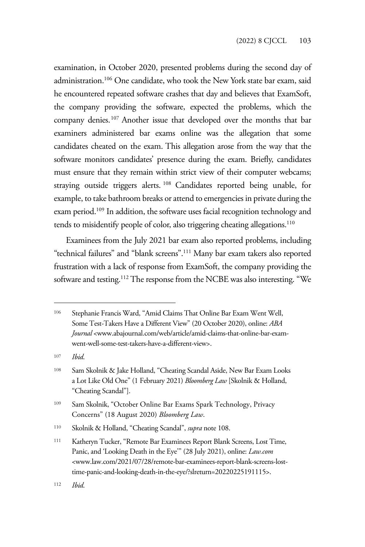examination, in October 2020, presented problems during the second day of administration.106 One candidate, who took the New York state bar exam, said he encountered repeated software crashes that day and believes that ExamSoft, the company providing the software, expected the problems, which the company denies.107 Another issue that developed over the months that bar examiners administered bar exams online was the allegation that some candidates cheated on the exam. This allegation arose from the way that the software monitors candidates' presence during the exam. Briefly, candidates must ensure that they remain within strict view of their computer webcams; straying outside triggers alerts. 108 Candidates reported being unable, for example, to take bathroom breaks or attend to emergencies in private during the exam period.<sup>109</sup> In addition, the software uses facial recognition technology and tends to misidentify people of color, also triggering cheating allegations.<sup>110</sup>

Examinees from the July 2021 bar exam also reported problems, including "technical failures" and "blank screens".111 Many bar exam takers also reported frustration with a lack of response from ExamSoft, the company providing the software and testing.<sup>112</sup> The response from the NCBE was also interesting. "We

<sup>107</sup> *Ibid*.

<sup>106</sup> Stephanie Francis Ward, "Amid Claims That Online Bar Exam Went Well, Some Test-Takers Have a Different View" (20 October 2020), online: *ABA Journal* <www.abajournal.com/web/article/amid-claims-that-online-bar-examwent-well-some-test-takers-have-a-different-view>.

<sup>108</sup> Sam Skolnik & Jake Holland, "Cheating Scandal Aside, New Bar Exam Looks a Lot Like Old One" (1 February 2021) *Bloomberg Law* [Skolnik & Holland, "Cheating Scandal"].

<sup>109</sup> Sam Skolnik, "October Online Bar Exams Spark Technology, Privacy Concerns" (18 August 2020) *Bloomberg Law*.

<sup>110</sup> Skolnik & Holland, "Cheating Scandal", *supra* note 108.

<sup>111</sup> Katheryn Tucker, "Remote Bar Examinees Report Blank Screens, Lost Time, Panic, and 'Looking Death in the Eye'" (28 July 2021), online: *Law.com*  <www.law.com/2021/07/28/remote-bar-examinees-report-blank-screens-losttime-panic-and-looking-death-in-the-eye/?slreturn=20220225191115>.

<sup>112</sup> *Ibid*.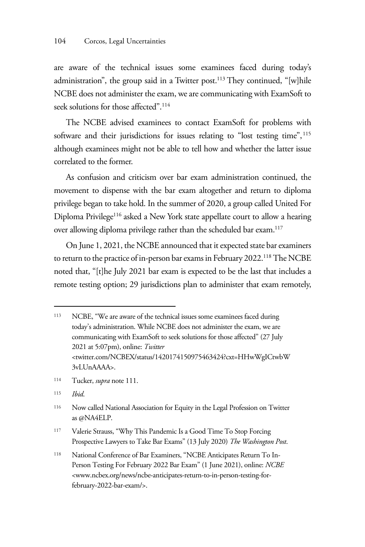are aware of the technical issues some examinees faced during today's administration", the group said in a Twitter post.<sup>113</sup> They continued, "[w]hile NCBE does not administer the exam, we are communicating with ExamSoft to seek solutions for those affected".<sup>114</sup>

The NCBE advised examinees to contact ExamSoft for problems with software and their jurisdictions for issues relating to "lost testing time", <sup>115</sup> although examinees might not be able to tell how and whether the latter issue correlated to the former.

As confusion and criticism over bar exam administration continued, the movement to dispense with the bar exam altogether and return to diploma privilege began to take hold. In the summer of 2020, a group called United For Diploma Privilege116 asked a New York state appellate court to allow a hearing over allowing diploma privilege rather than the scheduled bar exam.<sup>117</sup>

On June 1, 2021, the NCBE announced that it expected state bar examiners to return to the practice of in-person bar exams in February 2022.118 The NCBE noted that, "[t]he July 2021 bar exam is expected to be the last that includes a remote testing option; 29 jurisdictions plan to administer that exam remotely,

<sup>115</sup> *Ibid*.

<sup>117</sup> Valerie Strauss, "Why This Pandemic Is a Good Time To Stop Forcing Prospective Lawyers to Take Bar Exams" (13 July 2020) *The Washington Post*.

<sup>113</sup> NCBE, "We are aware of the technical issues some examinees faced during today's administration. While NCBE does not administer the exam, we are communicating with ExamSoft to seek solutions for those affected" (27 July 2021 at 5:07pm), online: *Twitter* <twitter.com/NCBEX/status/1420174150975463424?cxt=HHwWgICtwbW 3vLUnAAAA>.

<sup>114</sup> Tucker, *supra* note 111.

<sup>116</sup> Now called National Association for Equity in the Legal Profession on Twitter as @NA4ELP.

<sup>118</sup> National Conference of Bar Examiners, "NCBE Anticipates Return To In-Person Testing For February 2022 Bar Exam" (1 June 2021), online: *NCBE*  <www.ncbex.org/news/ncbe-anticipates-return-to-in-person-testing-forfebruary-2022-bar-exam/>.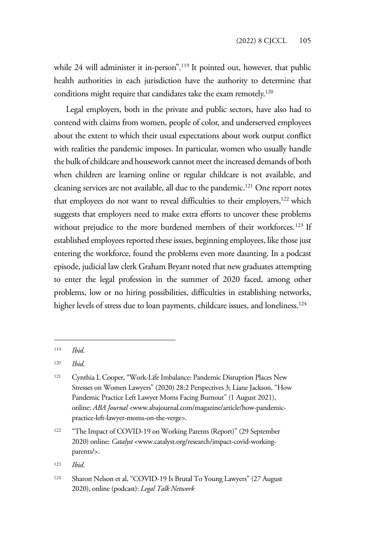while 24 will administer it in-person".<sup>119</sup> It pointed out, however, that public health authorities in each jurisdiction have the authority to determine that conditions might require that candidates take the exam remotely.<sup>120</sup>

Legal employers, both in the private and public sectors, have also had to contend with claims from women, people of color, and underserved employees about the extent to which their usual expectations about work output conflict with realities the pandemic imposes. In particular, women who usually handle the bulk of childcare and housework cannot meet the increased demands of both when children are learning online or regular childcare is not available, and cleaning services are not available, all due to the pandemic.<sup>121</sup> One report notes that employees do not want to reveal difficulties to their employers,<sup>122</sup> which suggests that employers need to make extra efforts to uncover these problems without prejudice to the more burdened members of their workforces.<sup>123</sup> If established employees reported these issues, beginning employees, like those just entering the workforce, found the problems even more daunting. In a podcast episode, judicial law clerk Graham Bryant noted that new graduates attempting to enter the legal profession in the summer of 2020 faced, among other problems, low or no hiring possibilities, difficulties in establishing networks, higher levels of stress due to loan payments, childcare issues, and loneliness.<sup>124</sup>

<sup>122</sup> "The Impact of COVID-19 on Working Parents (Report)" (29 September 2020) online: *Catalyst* <www.catalyst.org/research/impact-covid-workingparents/>.

<sup>123</sup> *Ibid*.

<sup>119</sup> *Ibid*.

<sup>120</sup> *Ibid*.

<sup>121</sup> Cynthia L Cooper, "Work-Life Imbalance: Pandemic Disruption Places New Stresses on Women Lawyers" (2020) 28:2 Perspectives 3; Liane Jackson, "How Pandemic Practice Left Lawyer Moms Facing Burnout" (1 August 2021), online: *ABA Journal* <www.abajournal.com/magazine/article/how-pandemicpractice-left-lawyer-moms-on-the-verge>.

<sup>124</sup> Sharon Nelson et al, "COVID-19 Is Brutal To Young Lawyers" (27 August 2020), online (podcast): *Legal Talk Network*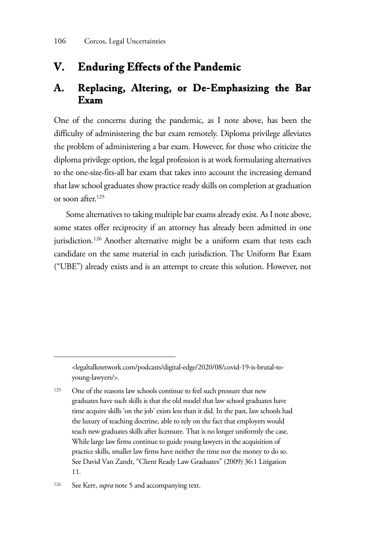#### **V. Enduring Effects of the Pandemic**

#### **A. Replacing, Altering, or De-Emphasizing the Bar Exam**

One of the concerns during the pandemic, as I note above, has been the difficulty of administering the bar exam remotely. Diploma privilege alleviates the problem of administering a bar exam. However, for those who criticize the diploma privilege option, the legal profession is at work formulating alternatives to the one-size-fits-all bar exam that takes into account the increasing demand that law school graduates show practice ready skills on completion at graduation or soon after.125

Some alternatives to taking multiple bar exams already exist. As I note above, some states offer reciprocity if an attorney has already been admitted in one jurisdiction.<sup>126</sup> Another alternative might be a uniform exam that tests each candidate on the same material in each jurisdiction. The Uniform Bar Exam ("UBE") already exists and is an attempt to create this solution. However, not

<sup>&</sup>lt;legaltalknetwork.com/podcasts/digital-edge/2020/08/covid-19-is-brutal-toyoung-lawyers/>.

<sup>125</sup> One of the reasons law schools continue to feel such pressure that new graduates have such skills is that the old model that law school graduates have time acquire skills 'on the job' exists less than it did. In the past, law schools had the luxury of teaching doctrine, able to rely on the fact that employers would teach new graduates skills after licensure. That is no longer uniformly the case. While large law firms continue to guide young lawyers in the acquisition of practice skills, smaller law firms have neither the time nor the money to do so. See David Van Zandt, "Client Ready Law Graduates" (2009) 36:1 Litigation 11.

<sup>126</sup> See Kerr, *supra* note 5 and accompanying text.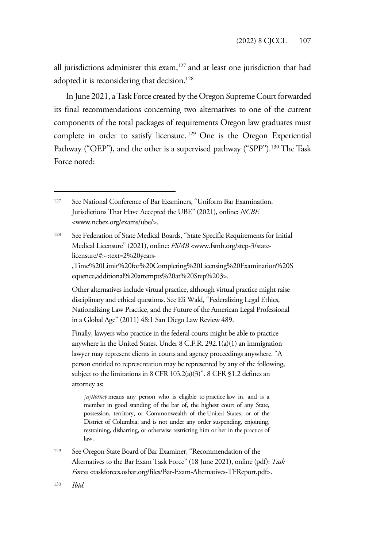all jurisdictions administer this exam,127 and at least one jurisdiction that had adopted it is reconsidering that decision.<sup>128</sup>

In June 2021, a Task Force created by the Oregon Supreme Court forwarded its final recommendations concerning two alternatives to one of the current components of the total packages of requirements Oregon law graduates must complete in order to satisfy licensure. 129 One is the Oregon Experiential Pathway ("OEP"), and the other is a supervised pathway ("SPP").<sup>130</sup> The Task Force noted:

,Time%20Limit%20for%20Completing%20Licensing%20Examination%20S equence,additional%20attempts%20at%20Step%203>.

Other alternatives include virtual practice, although virtual practice might raise disciplinary and ethical questions. See Eli Wald, "Federalizing Legal Ethics, Nationalizing Law Practice, and the Future of the American Legal Professional in a Global Age" (2011) 48:1 San Diego Law Review 489.

Finally, lawyers who practice in the federal courts might be able to practice anywhere in the United States. Under 8 C.F.R. 292.1(a)(1) an immigration lawyer may represent clients in courts and agency proceedings anywhere. "A person entitled to representation may be represented by any of the following, subject to the limitations in 8 CFR 103.2(a)(3)". 8 CFR §1.2 defines an attorney as:

*[a]ttorney* means any person who is eligible to practice law in, and is a member in good standing of the bar of, the highest court of any State, possession, territory, or Commonwealth of the United States, or of the District of Columbia, and is not under any order suspending, enjoining, restraining, disbarring, or otherwise restricting him or her in the practice of law.

<sup>129</sup> See Oregon State Board of Bar Examiner, "Recommendation of the Alternatives to the Bar Exam Task Force" (18 June 2021), online (pdf): *Task Forces* <taskforces.osbar.org/files/Bar-Exam-Alternatives-TFReport.pdf>.

<sup>127</sup> See National Conference of Bar Examiners, "Uniform Bar Examination. Jurisdictions That Have Accepted the UBE" (2021), online: *NCBE*  <www.ncbex.org/exams/ube/>.

<sup>128</sup> See Federation of State Medical Boards, "State Specific Requirements for Initial Medical Licensure" (2021), online: *FSMB* <www.fsmb.org/step-3/statelicensure/#:~:text=2%20years-

<sup>130</sup> *Ibid*.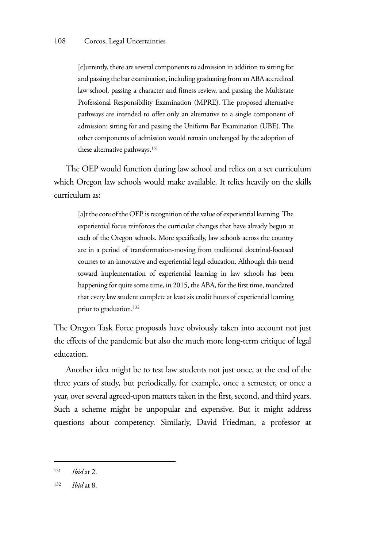[c]urrently, there are several components to admission in addition to sitting for and passing the bar examination, including graduating from an ABA accredited law school, passing a character and fitness review, and passing the Multistate Professional Responsibility Examination (MPRE). The proposed alternative pathways are intended to offer only an alternative to a single component of admission: sitting for and passing the Uniform Bar Examination (UBE). The other components of admission would remain unchanged by the adoption of these alternative pathways.<sup>131</sup>

The OEP would function during law school and relies on a set curriculum which Oregon law schools would make available. It relies heavily on the skills curriculum as:

[a]t the core of the OEP is recognition of the value of experiential learning. The experiential focus reinforces the curricular changes that have already begun at each of the Oregon schools. More specifically, law schools across the country are in a period of transformation-moving from traditional doctrinal-focused courses to an innovative and experiential legal education. Although this trend toward implementation of experiential learning in law schools has been happening for quite some time, in 2015, the ABA, for the first time, mandated that every law student complete at least six credit hours of experiential learning prior to graduation.<sup>132</sup>

The Oregon Task Force proposals have obviously taken into account not just the effects of the pandemic but also the much more long-term critique of legal education.

Another idea might be to test law students not just once, at the end of the three years of study, but periodically, for example, once a semester, or once a year, over several agreed-upon matters taken in the first, second, and third years. Such a scheme might be unpopular and expensive. But it might address questions about competency. Similarly, David Friedman, a professor at

<sup>131</sup> *Ibid* at 2.

<sup>132</sup> *Ibid* at 8.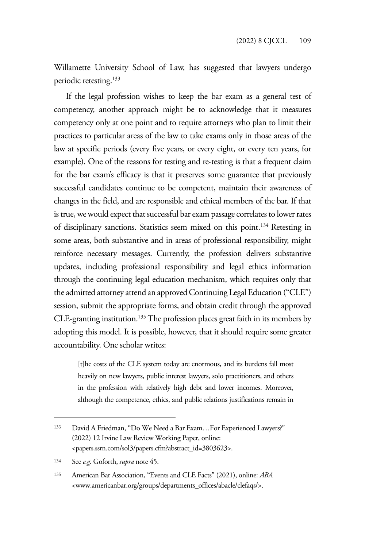Willamette University School of Law, has suggested that lawyers undergo periodic retesting.<sup>133</sup>

If the legal profession wishes to keep the bar exam as a general test of competency, another approach might be to acknowledge that it measures competency only at one point and to require attorneys who plan to limit their practices to particular areas of the law to take exams only in those areas of the law at specific periods (every five years, or every eight, or every ten years, for example). One of the reasons for testing and re-testing is that a frequent claim for the bar exam's efficacy is that it preserves some guarantee that previously successful candidates continue to be competent, maintain their awareness of changes in the field, and are responsible and ethical members of the bar. If that is true, we would expect that successful bar exam passage correlates to lower rates of disciplinary sanctions. Statistics seem mixed on this point.134 Retesting in some areas, both substantive and in areas of professional responsibility, might reinforce necessary messages. Currently, the profession delivers substantive updates, including professional responsibility and legal ethics information through the continuing legal education mechanism, which requires only that the admitted attorney attend an approved Continuing Legal Education ("CLE") session, submit the appropriate forms, and obtain credit through the approved CLE-granting institution.135 The profession places great faith in its members by adopting this model. It is possible, however, that it should require some greater accountability. One scholar writes:

[t]he costs of the CLE system today are enormous, and its burdens fall most heavily on new lawyers, public interest lawyers, solo practitioners, and others in the profession with relatively high debt and lower incomes. Moreover, although the competence, ethics, and public relations justifications remain in

<sup>133</sup> David A Friedman, "Do We Need a Bar Exam…For Experienced Lawyers?" (2022) 12 Irvine Law Review Working Paper, online: <papers.ssrn.com/sol3/papers.cfm?abstract\_id=3803623>.

<sup>134</sup> See *e.g.* Goforth, *supra* note 45.

<sup>135</sup> American Bar Association, "Events and CLE Facts" (2021), online: *ABA*  <www.americanbar.org/groups/departments\_offices/abacle/clefaqs/>.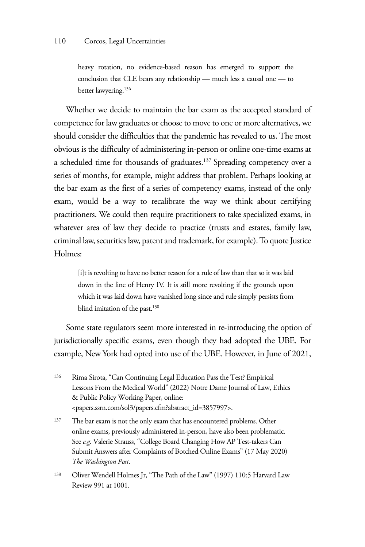heavy rotation, no evidence-based reason has emerged to support the conclusion that CLE bears any relationship — much less a causal one — to better lawyering.136

Whether we decide to maintain the bar exam as the accepted standard of competence for law graduates or choose to move to one or more alternatives, we should consider the difficulties that the pandemic has revealed to us. The most obvious is the difficulty of administering in-person or online one-time exams at a scheduled time for thousands of graduates.137 Spreading competency over a series of months, for example, might address that problem. Perhaps looking at the bar exam as the first of a series of competency exams, instead of the only exam, would be a way to recalibrate the way we think about certifying practitioners. We could then require practitioners to take specialized exams, in whatever area of law they decide to practice (trusts and estates, family law, criminal law, securities law, patent and trademark, for example). To quote Justice Holmes:

[i]t is revolting to have no better reason for a rule of law than that so it was laid down in the line of Henry IV. It is still more revolting if the grounds upon which it was laid down have vanished long since and rule simply persists from blind imitation of the past.<sup>138</sup>

Some state regulators seem more interested in re-introducing the option of jurisdictionally specific exams, even though they had adopted the UBE. For example, New York had opted into use of the UBE. However, in June of 2021,

<sup>136</sup> Rima Sirota, "Can Continuing Legal Education Pass the Test? Empirical Lessons From the Medical World" (2022) Notre Dame Journal of Law, Ethics & Public Policy Working Paper, online: <papers.ssrn.com/sol3/papers.cfm?abstract\_id=3857997>.

<sup>137</sup> The bar exam is not the only exam that has encountered problems. Other online exams, previously administered in-person, have also been problematic. See *e.g.* Valerie Strauss, "College Board Changing How AP Test-takers Can Submit Answers after Complaints of Botched Online Exams" (17 May 2020) *The Washington Post*.

<sup>138</sup> Oliver Wendell Holmes Jr, "The Path of the Law" (1997) 110:5 Harvard Law Review 991 at 1001.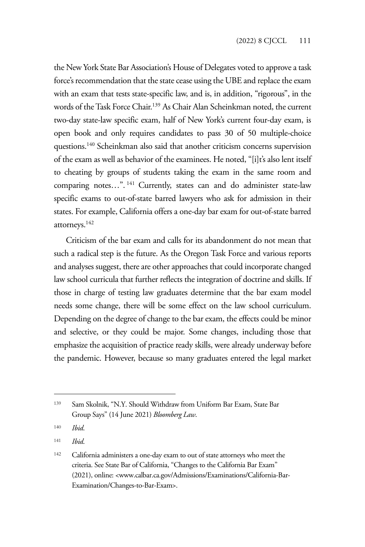the New York State Bar Association's House of Delegates voted to approve a task force's recommendation that the state cease using the UBE and replace the exam with an exam that tests state-specific law, and is, in addition, "rigorous", in the words of the Task Force Chair.139 As Chair Alan Scheinkman noted, the current two-day state-law specific exam, half of New York's current four-day exam, is open book and only requires candidates to pass 30 of 50 multiple-choice questions.140 Scheinkman also said that another criticism concerns supervision of the exam as well as behavior of the examinees. He noted, "[i]t's also lent itself to cheating by groups of students taking the exam in the same room and comparing notes...".<sup>141</sup> Currently, states can and do administer state-law specific exams to out-of-state barred lawyers who ask for admission in their states. For example, California offers a one-day bar exam for out-of-state barred attorneys.142

Criticism of the bar exam and calls for its abandonment do not mean that such a radical step is the future. As the Oregon Task Force and various reports and analyses suggest, there are other approaches that could incorporate changed law school curricula that further reflects the integration of doctrine and skills. If those in charge of testing law graduates determine that the bar exam model needs some change, there will be some effect on the law school curriculum. Depending on the degree of change to the bar exam, the effects could be minor and selective, or they could be major. Some changes, including those that emphasize the acquisition of practice ready skills, were already underway before the pandemic. However, because so many graduates entered the legal market

<sup>141</sup> *Ibid*.

<sup>139</sup> Sam Skolnik, "N.Y. Should Withdraw from Uniform Bar Exam, State Bar Group Says" (14 June 2021) *Bloomberg Law*.

<sup>140</sup> *Ibid*.

<sup>142</sup> California administers a one-day exam to out of state attorneys who meet the criteria. See State Bar of California, "Changes to the California Bar Exam" (2021), online: <www.calbar.ca.gov/Admissions/Examinations/California-Bar-Examination/Changes-to-Bar-Exam>.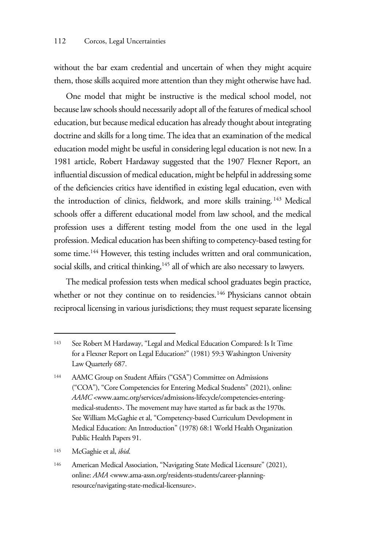without the bar exam credential and uncertain of when they might acquire them, those skills acquired more attention than they might otherwise have had.

One model that might be instructive is the medical school model, not because law schools should necessarily adopt all of the features of medical school education, but because medical education has already thought about integrating doctrine and skills for a long time. The idea that an examination of the medical education model might be useful in considering legal education is not new. In a 1981 article, Robert Hardaway suggested that the 1907 Flexner Report, an influential discussion of medical education, might be helpful in addressing some of the deficiencies critics have identified in existing legal education, even with the introduction of clinics, fieldwork, and more skills training.<sup>143</sup> Medical schools offer a different educational model from law school, and the medical profession uses a different testing model from the one used in the legal profession. Medical education has been shifting to competency-based testing for some time.<sup>144</sup> However, this testing includes written and oral communication, social skills, and critical thinking,<sup>145</sup> all of which are also necessary to lawyers.

The medical profession tests when medical school graduates begin practice, whether or not they continue on to residencies.<sup>146</sup> Physicians cannot obtain reciprocal licensing in various jurisdictions; they must request separate licensing

<sup>143</sup> See Robert M Hardaway, "Legal and Medical Education Compared: Is It Time for a Flexner Report on Legal Education?" (1981) 59:3 Washington University Law Quarterly 687.

<sup>144</sup> AAMC Group on Student Affairs ("GSA") Committee on Admissions ("COA"), "Core Competencies for Entering Medical Students" (2021), online: *AAMC* <www.aamc.org/services/admissions-lifecycle/competencies-enteringmedical-students>. The movement may have started as far back as the 1970s. See William McGaghie et al, "Competency-based Curriculum Development in Medical Education: An Introduction" (1978) 68:1 World Health Organization Public Health Papers 91.

<sup>145</sup> McGaghie et al, *ibid*.

<sup>146</sup> American Medical Association, "Navigating State Medical Licensure" (2021), online: *AMA* <www.ama-assn.org/residents-students/career-planningresource/navigating-state-medical-licensure>.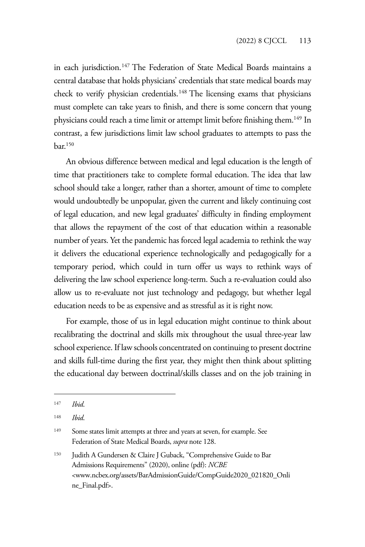in each jurisdiction.<sup>147</sup> The Federation of State Medical Boards maintains a central database that holds physicians' credentials that state medical boards may check to verify physician credentials.<sup>148</sup> The licensing exams that physicians must complete can take years to finish, and there is some concern that young physicians could reach a time limit or attempt limit before finishing them.<sup>149</sup> In contrast, a few jurisdictions limit law school graduates to attempts to pass the bar.150

An obvious difference between medical and legal education is the length of time that practitioners take to complete formal education. The idea that law school should take a longer, rather than a shorter, amount of time to complete would undoubtedly be unpopular, given the current and likely continuing cost of legal education, and new legal graduates' difficulty in finding employment that allows the repayment of the cost of that education within a reasonable number of years. Yet the pandemic has forced legal academia to rethink the way it delivers the educational experience technologically and pedagogically for a temporary period, which could in turn offer us ways to rethink ways of delivering the law school experience long-term. Such a re-evaluation could also allow us to re-evaluate not just technology and pedagogy, but whether legal education needs to be as expensive and as stressful as it is right now.

For example, those of us in legal education might continue to think about recalibrating the doctrinal and skills mix throughout the usual three-year law school experience. If law schools concentrated on continuing to present doctrine and skills full-time during the first year, they might then think about splitting the educational day between doctrinal/skills classes and on the job training in

<sup>147</sup> *Ibid*.

<sup>148</sup> *Ibid*.

<sup>&</sup>lt;sup>149</sup> Some states limit attempts at three and years at seven, for example. See Federation of State Medical Boards, *supra* note 128.

<sup>150</sup> Judith A Gundersen & Claire J Guback, "Comprehensive Guide to Bar Admissions Requirements" (2020), online (pdf): *NCBE*  <www.ncbex.org/assets/BarAdmissionGuide/CompGuide2020\_021820\_Onli ne\_Final.pdf>.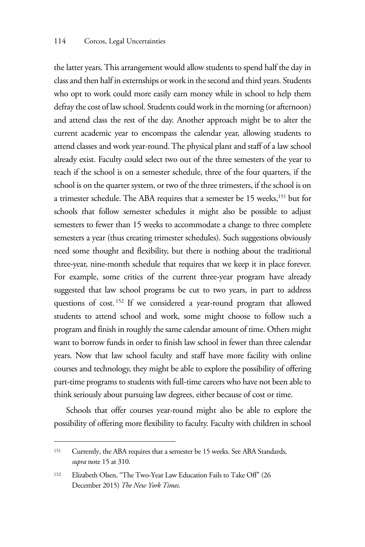the latter years. This arrangement would allow students to spend half the day in class and then half in externships or work in the second and third years. Students who opt to work could more easily earn money while in school to help them defray the cost of law school. Students could work in the morning (or afternoon) and attend class the rest of the day. Another approach might be to alter the current academic year to encompass the calendar year, allowing students to attend classes and work year-round. The physical plant and staff of a law school already exist. Faculty could select two out of the three semesters of the year to teach if the school is on a semester schedule, three of the four quarters, if the school is on the quarter system, or two of the three trimesters, if the school is on a trimester schedule. The ABA requires that a semester be 15 weeks,<sup>151</sup> but for schools that follow semester schedules it might also be possible to adjust semesters to fewer than 15 weeks to accommodate a change to three complete semesters a year (thus creating trimester schedules). Such suggestions obviously need some thought and flexibility, but there is nothing about the traditional three-year, nine-month schedule that requires that we keep it in place forever. For example, some critics of the current three-year program have already suggested that law school programs be cut to two years, in part to address questions of cost. 152 If we considered a year-round program that allowed students to attend school and work, some might choose to follow such a program and finish in roughly the same calendar amount of time. Others might want to borrow funds in order to finish law school in fewer than three calendar years. Now that law school faculty and staff have more facility with online courses and technology, they might be able to explore the possibility of offering part-time programs to students with full-time careers who have not been able to think seriously about pursuing law degrees, either because of cost or time.

Schools that offer courses year-round might also be able to explore the possibility of offering more flexibility to faculty. Faculty with children in school

<sup>151</sup> Currently, the ABA requires that a semester be 15 weeks. See ABA Standards, *supra* note 15 at 310.

<sup>152</sup> Elizabeth Olsen, "The Two-Year Law Education Fails to Take Off" (26 December 2015) *The New York Times*.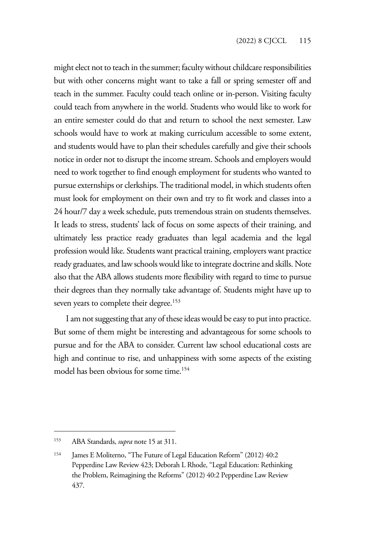might elect not to teach in the summer; faculty without childcare responsibilities but with other concerns might want to take a fall or spring semester off and teach in the summer. Faculty could teach online or in-person. Visiting faculty could teach from anywhere in the world. Students who would like to work for an entire semester could do that and return to school the next semester. Law schools would have to work at making curriculum accessible to some extent, and students would have to plan their schedules carefully and give their schools notice in order not to disrupt the income stream. Schools and employers would need to work together to find enough employment for students who wanted to pursue externships or clerkships. The traditional model, in which students often must look for employment on their own and try to fit work and classes into a 24 hour/7 day a week schedule, puts tremendous strain on students themselves. It leads to stress, students' lack of focus on some aspects of their training, and ultimately less practice ready graduates than legal academia and the legal profession would like. Students want practical training, employers want practice ready graduates, and law schools would like to integrate doctrine and skills. Note also that the ABA allows students more flexibility with regard to time to pursue their degrees than they normally take advantage of. Students might have up to seven years to complete their degree.<sup>153</sup>

I am not suggesting that any of these ideas would be easy to put into practice. But some of them might be interesting and advantageous for some schools to pursue and for the ABA to consider. Current law school educational costs are high and continue to rise, and unhappiness with some aspects of the existing model has been obvious for some time.154

<sup>153</sup> ABA Standards, *supra* note 15 at 311.

<sup>154</sup> James E Moliterno, "The Future of Legal Education Reform" (2012) 40:2 Pepperdine Law Review 423; Deborah L Rhode, "Legal Education: Rethinking the Problem, Reimagining the Reforms" (2012) 40:2 Pepperdine Law Review 437.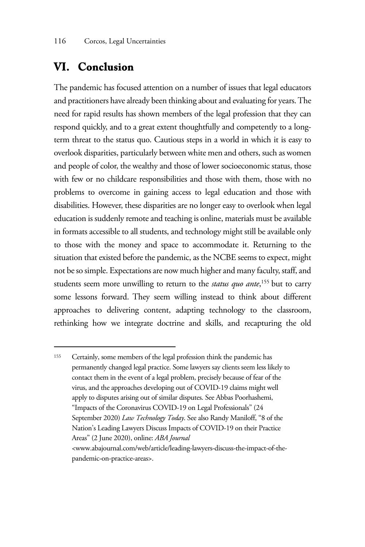#### **VI. Conclusion**

The pandemic has focused attention on a number of issues that legal educators and practitioners have already been thinking about and evaluating for years. The need for rapid results has shown members of the legal profession that they can respond quickly, and to a great extent thoughtfully and competently to a longterm threat to the status quo. Cautious steps in a world in which it is easy to overlook disparities, particularly between white men and others, such as women and people of color, the wealthy and those of lower socioeconomic status, those with few or no childcare responsibilities and those with them, those with no problems to overcome in gaining access to legal education and those with disabilities. However, these disparities are no longer easy to overlook when legal education is suddenly remote and teaching is online, materials must be available in formats accessible to all students, and technology might still be available only to those with the money and space to accommodate it. Returning to the situation that existed before the pandemic, as the NCBE seems to expect, might not be so simple. Expectations are now much higher and many faculty, staff, and students seem more unwilling to return to the *status quo ante*, 155 but to carry some lessons forward. They seem willing instead to think about different approaches to delivering content, adapting technology to the classroom, rethinking how we integrate doctrine and skills, and recapturing the old

<sup>155</sup> Certainly, some members of the legal profession think the pandemic has permanently changed legal practice. Some lawyers say clients seem less likely to contact them in the event of a legal problem, precisely because of fear of the virus, and the approaches developing out of COVID-19 claims might well apply to disputes arising out of similar disputes. See Abbas Poorhashemi, "Impacts of the Coronavirus COVID-19 on Legal Professionals" (24 September 2020) *Law Technology Today*. See also Randy Maniloff, "8 of the Nation's Leading Lawyers Discuss Impacts of COVID-19 on their Practice Areas" (2 June 2020), online: *ABA Journal*  <www.abajournal.com/web/article/leading-lawyers-discuss-the-impact-of-thepandemic-on-practice-areas>.